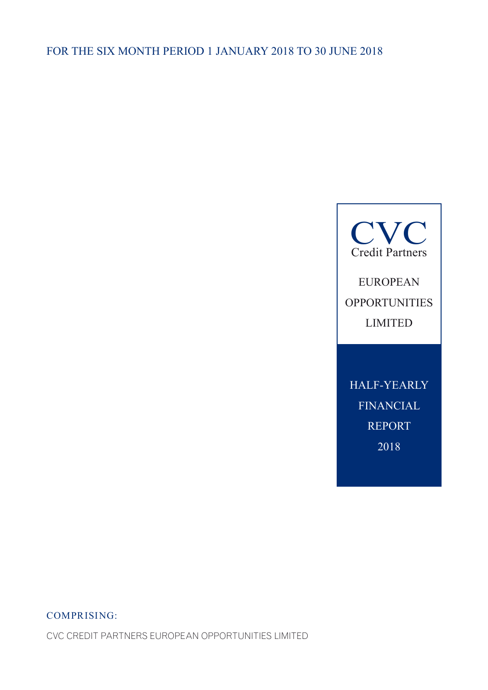# FOR THE SIX MONTH PERIOD 1 JANUARY 2018 TO 30 JUNE 2018



HALF‑YEARLY FINANCIAL REPORT 2018

# COMPRISING:

CVC CREDIT PARTNERS EUROPEAN OPPORTUNITIES LIMITED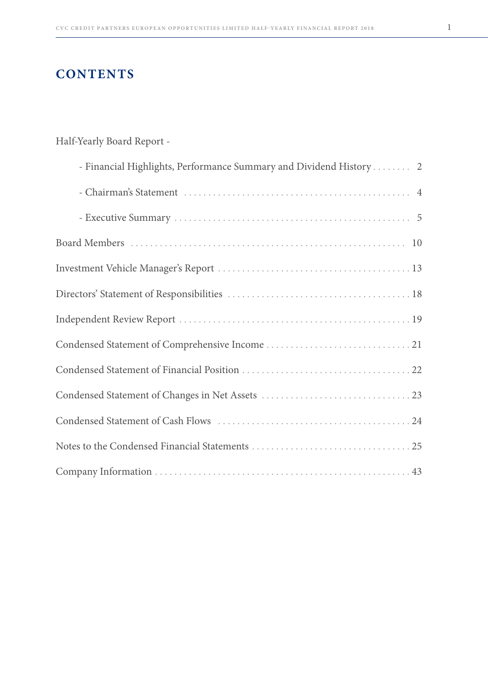# **CONTENTS**

# Half-Yearly Board Report -

| - Financial Highlights, Performance Summary and Dividend History  2 |
|---------------------------------------------------------------------|
|                                                                     |
|                                                                     |
|                                                                     |
|                                                                     |
|                                                                     |
|                                                                     |
|                                                                     |
|                                                                     |
|                                                                     |
|                                                                     |
|                                                                     |
|                                                                     |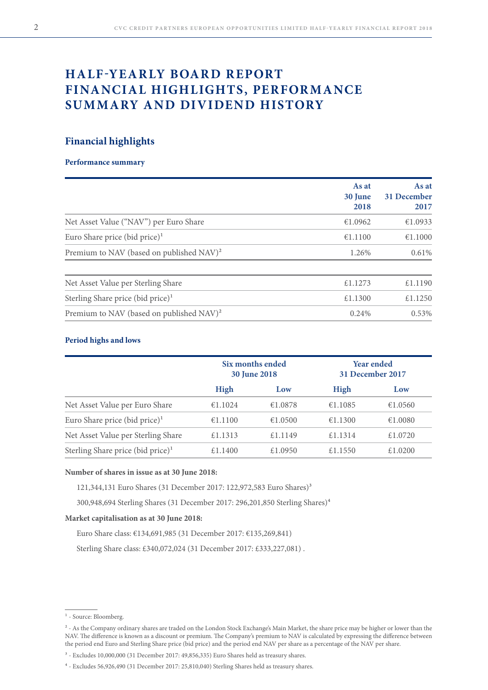# **HALF-YEAR LY BOARD R EPORT FINANCIAL HIGHLIGHTS, PERFOR MANCE SUMMARY AND DIVIDEND HISTORY**

## **Financial highlights**

#### **Performance summary**

|                                                      | As at<br>30 June<br>2018 | As at<br>31 December<br>2017 |
|------------------------------------------------------|--------------------------|------------------------------|
| Net Asset Value ("NAV") per Euro Share               | €1.0962                  | €1.0933                      |
| Euro Share price (bid price) $1$                     | €1.1100                  | €1.1000                      |
| Premium to NAV (based on published NAV) <sup>2</sup> | 1.26%                    | 0.61%                        |
| Net Asset Value per Sterling Share                   | £1.1273                  | £1.1190                      |
| Sterling Share price (bid price) $1$                 | £1.1300                  | £1.1250                      |
| Premium to NAV (based on published NAV) <sup>2</sup> | 0.24%                    | 0.53%                        |

#### **Period highs and lows**

|                                               | Six months ended<br><b>30 June 2018</b> |         |         | <b>Year ended</b><br><b>31 December 2017</b> |
|-----------------------------------------------|-----------------------------------------|---------|---------|----------------------------------------------|
|                                               | High                                    | Low     | High    | Low                                          |
| Net Asset Value per Euro Share                | €1.1024                                 | €1.0878 | €1.1085 | €1.0560                                      |
| Euro Share price (bid price) <sup>1</sup>     | €1.1100                                 | €1.0500 | €1.1300 | €1.0080                                      |
| Net Asset Value per Sterling Share            | £1.1313                                 | £1.1149 | £1.1314 | £1.0720                                      |
| Sterling Share price (bid price) <sup>1</sup> | £1.1400                                 | £1.0950 | £1.1550 | £1.0200                                      |

#### **Number of shares in issue as at 30 June 2018:**

121,344,131 Euro Shares (31 December 2017: 122,972,583 Euro Shares)3

300,948,694 Sterling Shares (31 December 2017: 296,201,850 Sterling Shares)4

#### **Market capitalisation as at 30 June 2018:**

Euro Share class: €134,691,985 (31 December 2017: €135,269,841)

Sterling Share class: £340,072,024 (31 December 2017: £333,227,081) .

<sup>&</sup>lt;sup>1</sup> - Source: Bloomberg.

<sup>&</sup>lt;sup>2</sup> - As the Company ordinary shares are traded on the London Stock Exchange's Main Market, the share price may be higher or lower than the NAV. The difference is known as a discount or premium. The Company's premium to NAV is calculated by expressing the difference between the period end Euro and Sterling Share price (bid price) and the period end NAV per share as a percentage of the NAV per share.

<sup>3</sup> - Excludes 10,000,000 (31 December 2017: 49,856,335) Euro Shares held as treasury shares.

<sup>4</sup> - Excludes 56,926,490 (31 December 2017: 25,810,040) Sterling Shares held as treasury shares.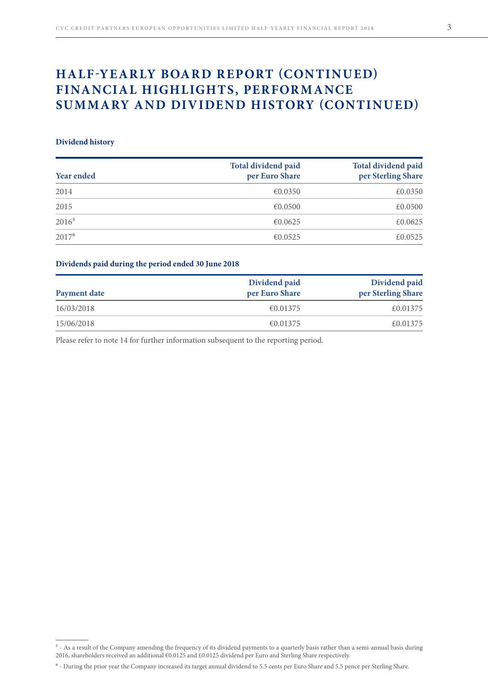# **HALF-YEAR LY BOARD R EPORT (CONTINUED) FINANCIAL HIGHLIGHTS, PERFOR MANCE SUMMARY AND DIVIDEND HISTORY (CONTINUED)**

### **Dividend history**

| Year ended        | <b>Total dividend paid</b><br>per Euro Share | <b>Total dividend paid</b><br>per Sterling Share |
|-------------------|----------------------------------------------|--------------------------------------------------|
| 2014              | €0.0350                                      | £0.0350                                          |
| 2015              | €0.0500                                      | £0.0500                                          |
| 2016 <sup>5</sup> | €0.0625                                      | £0.0625                                          |
| 2017 <sup>6</sup> | €0.0525                                      | £0.0525                                          |

#### **Dividends paid during the period ended 30 June 2018**

| Payment date | Dividend paid<br>per Euro Share | Dividend paid<br>per Sterling Share |
|--------------|---------------------------------|-------------------------------------|
| 16/03/2018   | €0.01375                        | £0.01375                            |
| 15/06/2018   | €0.01375                        | £0.01375                            |

Please refer to note 14 for further information subsequent to the reporting period.

<sup>&</sup>lt;sup>5</sup> - As a result of the Company amending the frequency of its dividend payments to a quarterly basis rather than a semi-annual basis during 2016, shareholders received an additional €0.0125 and £0.0125 dividend per Euro and Sterling Share respectively.

<sup>6</sup> - During the prior year the Company increased its target annual dividend to 5.5 cents per Euro Share and 5.5 pence per Sterling Share.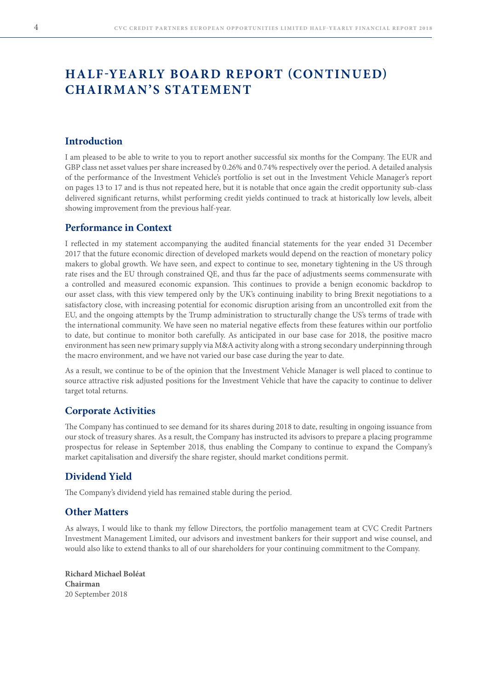# **HALF-YEAR LY BOARD R EPORT (CONTINUED) CHAIRMAN'S STATEMENT**

### **Introduction**

I am pleased to be able to write to you to report another successful six months for the Company. The EUR and GBP class net asset values per share increased by 0.26% and 0.74% respectively over the period. A detailed analysis of the performance of the Investment Vehicle's portfolio is set out in the Investment Vehicle Manager's report on pages 13 to 17 and is thus not repeated here, but it is notable that once again the credit opportunity sub-class delivered significant returns, whilst performing credit yields continued to track at historically low levels, albeit showing improvement from the previous half-year.

#### **Performance in Context**

I reflected in my statement accompanying the audited financial statements for the year ended 31 December 2017 that the future economic direction of developed markets would depend on the reaction of monetary policy makers to global growth. We have seen, and expect to continue to see, monetary tightening in the US through rate rises and the EU through constrained QE, and thus far the pace of adjustments seems commensurate with a controlled and measured economic expansion. This continues to provide a benign economic backdrop to our asset class, with this view tempered only by the UK's continuing inability to bring Brexit negotiations to a satisfactory close, with increasing potential for economic disruption arising from an uncontrolled exit from the EU, and the ongoing attempts by the Trump administration to structurally change the US's terms of trade with the international community. We have seen no material negative effects from these features within our portfolio to date, but continue to monitor both carefully. As anticipated in our base case for 2018, the positive macro environment has seen new primary supply via M&A activity along with a strong secondary underpinning through the macro environment, and we have not varied our base case during the year to date.

As a result, we continue to be of the opinion that the Investment Vehicle Manager is well placed to continue to source attractive risk adjusted positions for the Investment Vehicle that have the capacity to continue to deliver target total returns.

### **Corporate Activities**

The Company has continued to see demand for its shares during 2018 to date, resulting in ongoing issuance from our stock of treasury shares. As a result, the Company has instructed its advisors to prepare a placing programme prospectus for release in September 2018, thus enabling the Company to continue to expand the Company's market capitalisation and diversify the share register, should market conditions permit.

### **Dividend Yield**

The Company's dividend yield has remained stable during the period.

#### **Other Matters**

As always, I would like to thank my fellow Directors, the portfolio management team at CVC Credit Partners Investment Management Limited, our advisors and investment bankers for their support and wise counsel, and would also like to extend thanks to all of our shareholders for your continuing commitment to the Company.

**Richard Michael Boléat Chairman** 20 September 2018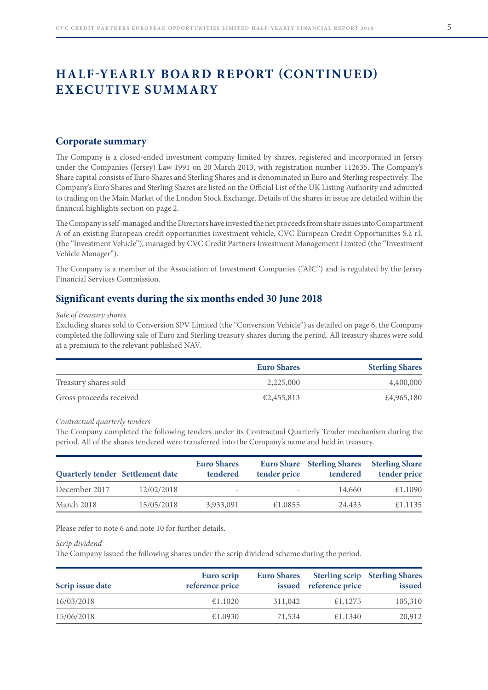### **Corporate summary**

The Company is a closed-ended investment company limited by shares, registered and incorporated in Jersey under the Companies (Jersey) Law 1991 on 20 March 2013, with registration number 112635. The Company's Share capital consists of Euro Shares and Sterling Shares and is denominated in Euro and Sterling respectively. The Company's Euro Shares and Sterling Shares are listed on the Official List of the UK Listing Authority and admitted to trading on the Main Market of the London Stock Exchange. Details of the shares in issue are detailed within the financial highlights section on page 2.

The Company is self-managed and the Directors have invested the net proceeds from share issues into Compartment A of an existing European credit opportunities investment vehicle, CVC European Credit Opportunities S.à r.l. (the "Investment Vehicle"), managed by CVC Credit Partners Investment Management Limited (the "Investment Vehicle Manager").

The Company is a member of the Association of Investment Companies ("AIC") and is regulated by the Jersey Financial Services Commission.

#### **Significant events during the six months ended 30 June 2018**

#### *Sale of treasury shares*

Excluding shares sold to Conversion SPV Limited (the "Conversion Vehicle") as detailed on page 6, the Company completed the following sale of Euro and Sterling treasury shares during the period. All treasury shares were sold at a premium to the relevant published NAV.

|                         | <b>Euro Shares</b> | <b>Sterling Shares</b> |
|-------------------------|--------------------|------------------------|
| Treasury shares sold    | 2,225,000          | 4,400,000              |
| Gross proceeds received | €2,455,813         | £4,965,180             |

#### *Contractual quarterly tenders*

The Company completed the following tenders under its Contractual Quarterly Tender mechanism during the period. All of the shares tendered were transferred into the Company's name and held in treasury.

| <b>Quarterly tender Settlement date</b> |            | <b>Euro Shares</b><br>tendered | tender price             | Euro Share Sterling Shares Sterling Share<br>tendered | tender price |
|-----------------------------------------|------------|--------------------------------|--------------------------|-------------------------------------------------------|--------------|
| December 2017                           | 12/02/2018 | -                              | $\overline{\phantom{a}}$ | 14,660                                                | £1.1090      |
| March 2018                              | 15/05/2018 | 3,933,091                      | €1.0855                  | 24,433                                                | £1.1135      |

Please refer to note 6 and note 10 for further details.

#### *Scrip dividend*

The Company issued the following shares under the scrip dividend scheme during the period.

| Scrip issue date | Euro scrip<br>reference price | <b>Euro Shares</b> | <b>Sterling scrip Sterling Shares</b><br>issued reference price | issued  |
|------------------|-------------------------------|--------------------|-----------------------------------------------------------------|---------|
| 16/03/2018       | €1.1020                       | 311,042            | £1.1275                                                         | 105,310 |
| 15/06/2018       | €1.0930                       | 71,534             | £1.1340                                                         | 20,912  |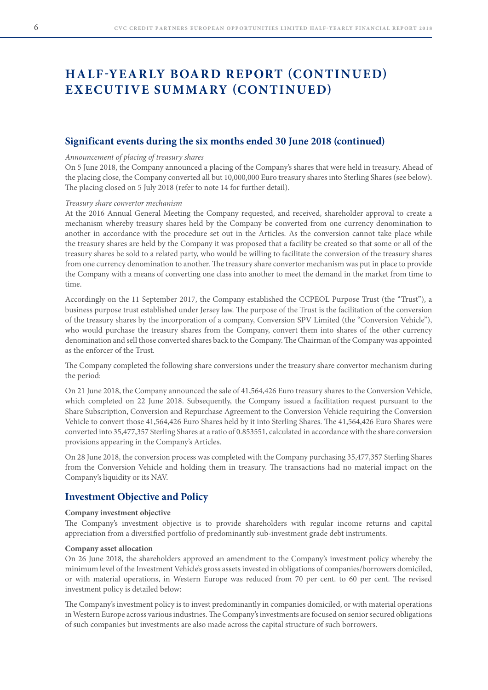#### **Significant events during the six months ended 30 June 2018 (continued)**

#### *Announcement of placing of treasury shares*

On 5 June 2018, the Company announced a placing of the Company's shares that were held in treasury. Ahead of the placing close, the Company converted all but 10,000,000 Euro treasury shares into Sterling Shares (see below). The placing closed on 5 July 2018 (refer to note 14 for further detail).

#### *Treasury share convertor mechanism*

At the 2016 Annual General Meeting the Company requested, and received, shareholder approval to create a mechanism whereby treasury shares held by the Company be converted from one currency denomination to another in accordance with the procedure set out in the Articles. As the conversion cannot take place while the treasury shares are held by the Company it was proposed that a facility be created so that some or all of the treasury shares be sold to a related party, who would be willing to facilitate the conversion of the treasury shares from one currency denomination to another. The treasury share convertor mechanism was put in place to provide the Company with a means of converting one class into another to meet the demand in the market from time to time.

Accordingly on the 11 September 2017, the Company established the CCPEOL Purpose Trust (the "Trust"), a business purpose trust established under Jersey law. The purpose of the Trust is the facilitation of the conversion of the treasury shares by the incorporation of a company, Conversion SPV Limited (the "Conversion Vehicle"), who would purchase the treasury shares from the Company, convert them into shares of the other currency denomination and sell those converted shares back to the Company. The Chairman of the Company was appointed as the enforcer of the Trust.

The Company completed the following share conversions under the treasury share convertor mechanism during the period:

On 21 June 2018, the Company announced the sale of 41,564,426 Euro treasury shares to the Conversion Vehicle, which completed on 22 June 2018. Subsequently, the Company issued a facilitation request pursuant to the Share Subscription, Conversion and Repurchase Agreement to the Conversion Vehicle requiring the Conversion Vehicle to convert those 41,564,426 Euro Shares held by it into Sterling Shares. The 41,564,426 Euro Shares were converted into 35,477,357 Sterling Shares at a ratio of 0.853551, calculated in accordance with the share conversion provisions appearing in the Company's Articles.

On 28 June 2018, the conversion process was completed with the Company purchasing 35,477,357 Sterling Shares from the Conversion Vehicle and holding them in treasury. The transactions had no material impact on the Company's liquidity or its NAV.

#### **Investment Objective and Policy**

#### **Company investment objective**

The Company's investment objective is to provide shareholders with regular income returns and capital appreciation from a diversified portfolio of predominantly sub-investment grade debt instruments.

#### **Company asset allocation**

On 26 June 2018, the shareholders approved an amendment to the Company's investment policy whereby the minimum level of the Investment Vehicle's gross assets invested in obligations of companies/borrowers domiciled, or with material operations, in Western Europe was reduced from 70 per cent. to 60 per cent. The revised investment policy is detailed below:

The Company's investment policy is to invest predominantly in companies domiciled, or with material operations in Western Europe across various industries. The Company's investments are focused on senior secured obligations of such companies but investments are also made across the capital structure of such borrowers.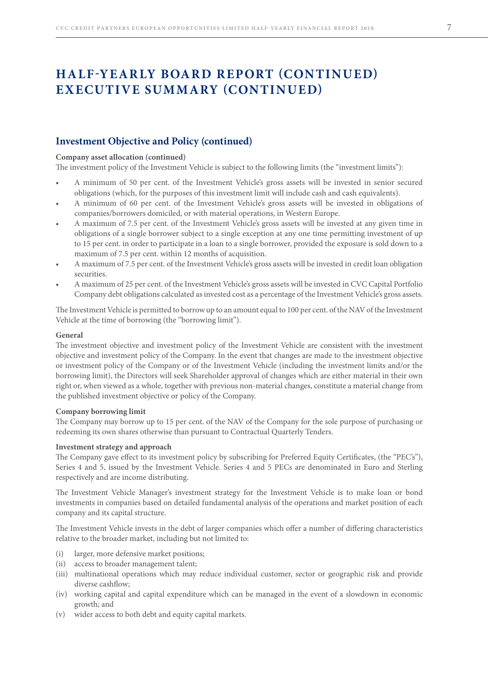### **Investment Objective and Policy (continued)**

#### **Company asset allocation (continued)**

The investment policy of the Investment Vehicle is subject to the following limits (the "investment limits"):

- A minimum of 50 per cent. of the Investment Vehicle's gross assets will be invested in senior secured obligations (which, for the purposes of this investment limit will include cash and cash equivalents).
- A minimum of 60 per cent. of the Investment Vehicle's gross assets will be invested in obligations of companies/borrowers domiciled, or with material operations, in Western Europe.
- A maximum of 7.5 per cent. of the Investment Vehicle's gross assets will be invested at any given time in obligations of a single borrower subject to a single exception at any one time permitting investment of up to 15 per cent. in order to participate in a loan to a single borrower, provided the exposure is sold down to a maximum of 7.5 per cent. within 12 months of acquisition.
- A maximum of 7.5 per cent. of the Investment Vehicle's gross assets will be invested in credit loan obligation securities.
- A maximum of 25 per cent. of the Investment Vehicle's gross assets will be invested in CVC Capital Portfolio Company debt obligations calculated as invested cost as a percentage of the Investment Vehicle's gross assets.

The Investment Vehicle is permitted to borrow up to an amount equal to 100 per cent. of the NAV of the Investment Vehicle at the time of borrowing (the "borrowing limit").

#### **General**

The investment objective and investment policy of the Investment Vehicle are consistent with the investment objective and investment policy of the Company. In the event that changes are made to the investment objective or investment policy of the Company or of the Investment Vehicle (including the investment limits and/or the borrowing limit), the Directors will seek Shareholder approval of changes which are either material in their own right or, when viewed as a whole, together with previous non-material changes, constitute a material change from the published investment objective or policy of the Company.

#### **Company borrowing limit**

The Company may borrow up to 15 per cent. of the NAV of the Company for the sole purpose of purchasing or redeeming its own shares otherwise than pursuant to Contractual Quarterly Tenders.

#### **Investment strategy and approach**

The Company gave effect to its investment policy by subscribing for Preferred Equity Certificates, (the "PEC's"), Series 4 and 5, issued by the Investment Vehicle. Series 4 and 5 PECs are denominated in Euro and Sterling respectively and are income distributing.

The Investment Vehicle Manager's investment strategy for the Investment Vehicle is to make loan or bond investments in companies based on detailed fundamental analysis of the operations and market position of each company and its capital structure.

The Investment Vehicle invests in the debt of larger companies which offer a number of differing characteristics relative to the broader market, including but not limited to:

- (i) larger, more defensive market positions;
- (ii) access to broader management talent;
- (iii) multinational operations which may reduce individual customer, sector or geographic risk and provide diverse cashflow;
- (iv) working capital and capital expenditure which can be managed in the event of a slowdown in economic growth; and
- (v) wider access to both debt and equity capital markets.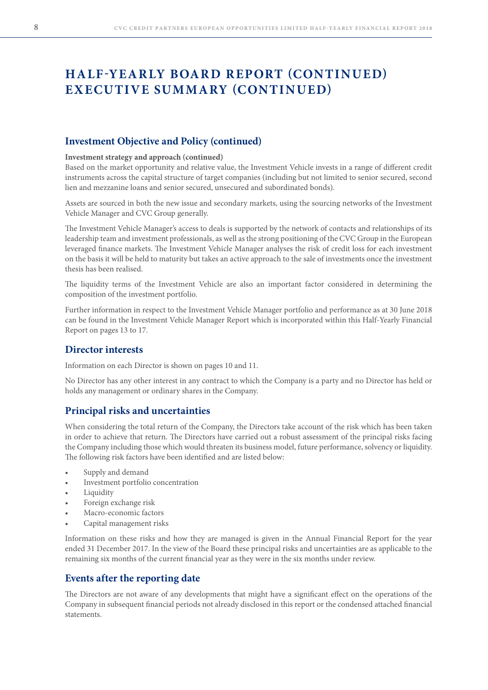### **Investment Objective and Policy (continued)**

#### **Investment strategy and approach (continued)**

Based on the market opportunity and relative value, the Investment Vehicle invests in a range of different credit instruments across the capital structure of target companies (including but not limited to senior secured, second lien and mezzanine loans and senior secured, unsecured and subordinated bonds).

Assets are sourced in both the new issue and secondary markets, using the sourcing networks of the Investment Vehicle Manager and CVC Group generally.

The Investment Vehicle Manager's access to deals is supported by the network of contacts and relationships of its leadership team and investment professionals, as well as the strong positioning of the CVC Group in the European leveraged finance markets. The Investment Vehicle Manager analyses the risk of credit loss for each investment on the basis it will be held to maturity but takes an active approach to the sale of investments once the investment thesis has been realised.

The liquidity terms of the Investment Vehicle are also an important factor considered in determining the composition of the investment portfolio.

Further information in respect to the Investment Vehicle Manager portfolio and performance as at 30 June 2018 can be found in the Investment Vehicle Manager Report which is incorporated within this Half-Yearly Financial Report on pages 13 to 17.

### **Director interests**

Information on each Director is shown on pages 10 and 11.

No Director has any other interest in any contract to which the Company is a party and no Director has held or holds any management or ordinary shares in the Company.

### **Principal risks and uncertainties**

When considering the total return of the Company, the Directors take account of the risk which has been taken in order to achieve that return. The Directors have carried out a robust assessment of the principal risks facing the Company including those which would threaten its business model, future performance, solvency or liquidity. The following risk factors have been identified and are listed below:

- Supply and demand
- Investment portfolio concentration
- **Liquidity**
- Foreign exchange risk
- Macro-economic factors
- Capital management risks

Information on these risks and how they are managed is given in the Annual Financial Report for the year ended 31 December 2017. In the view of the Board these principal risks and uncertainties are as applicable to the remaining six months of the current financial year as they were in the six months under review.

### **Events after the reporting date**

The Directors are not aware of any developments that might have a significant effect on the operations of the Company in subsequent financial periods not already disclosed in this report or the condensed attached financial statements.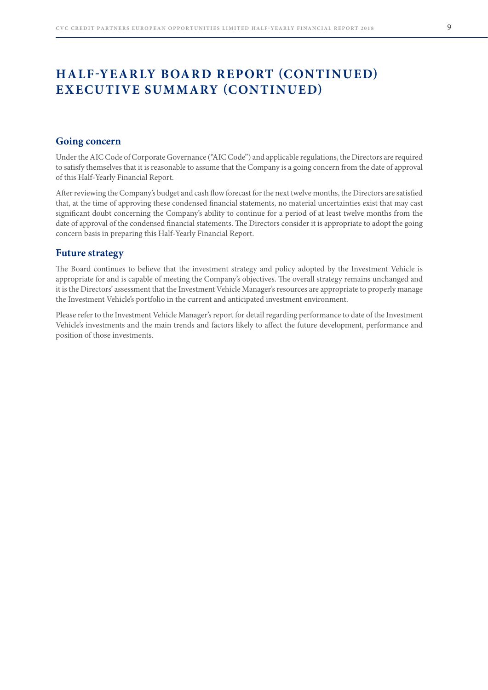### **Going concern**

Under the AIC Code of Corporate Governance ("AIC Code") and applicable regulations, the Directors are required to satisfy themselves that it is reasonable to assume that the Company is a going concern from the date of approval of this Half-Yearly Financial Report.

After reviewing the Company's budget and cash flow forecast for the next twelve months, the Directors are satisfied that, at the time of approving these condensed financial statements, no material uncertainties exist that may cast significant doubt concerning the Company's ability to continue for a period of at least twelve months from the date of approval of the condensed financial statements. The Directors consider it is appropriate to adopt the going concern basis in preparing this Half-Yearly Financial Report.

#### **Future strategy**

The Board continues to believe that the investment strategy and policy adopted by the Investment Vehicle is appropriate for and is capable of meeting the Company's objectives. The overall strategy remains unchanged and it is the Directors' assessment that the Investment Vehicle Manager's resources are appropriate to properly manage the Investment Vehicle's portfolio in the current and anticipated investment environment.

Please refer to the Investment Vehicle Manager's report for detail regarding performance to date of the Investment Vehicle's investments and the main trends and factors likely to affect the future development, performance and position of those investments.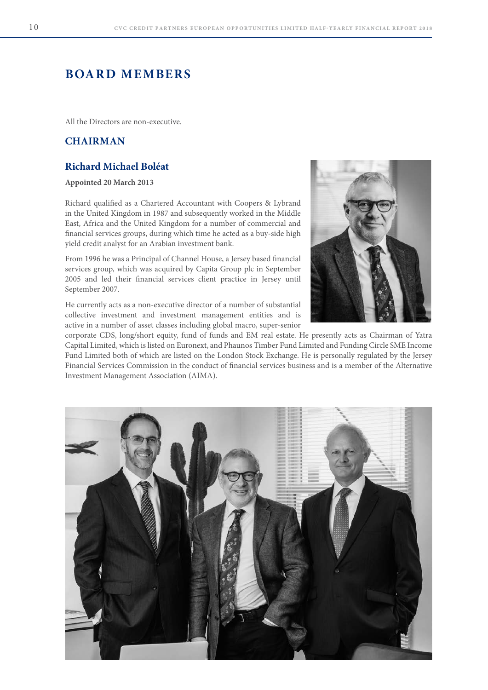# **BOARD MEMBERS**

All the Directors are non-executive.

## **CHAIRMAN**

## **Richard Michael Boléat**

#### **Appointed 20 March 2013**

Richard qualified as a Chartered Accountant with Coopers & Lybrand in the United Kingdom in 1987 and subsequently worked in the Middle East, Africa and the United Kingdom for a number of commercial and financial services groups, during which time he acted as a buy-side high yield credit analyst for an Arabian investment bank.

From 1996 he was a Principal of Channel House, a Jersey based financial services group, which was acquired by Capita Group plc in September 2005 and led their financial services client practice in Jersey until September 2007.

He currently acts as a non-executive director of a number of substantial collective investment and investment management entities and is active in a number of asset classes including global macro, super-senior



corporate CDS, long/short equity, fund of funds and EM real estate. He presently acts as Chairman of Yatra Capital Limited, which is listed on Euronext, and Phaunos Timber Fund Limited and Funding Circle SME Income Fund Limited both of which are listed on the London Stock Exchange. He is personally regulated by the Jersey Financial Services Commission in the conduct of financial services business and is a member of the Alternative Investment Management Association (AIMA).

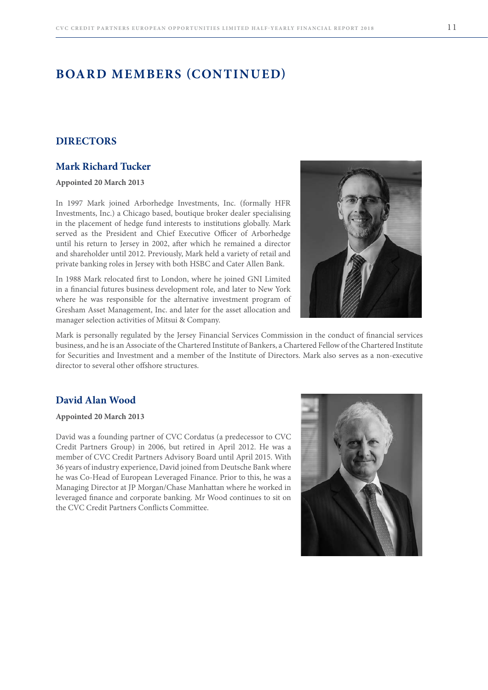# **BOARD MEMBERS (CONTINUED)**

## **DIRECTORS**

### **Mark Richard Tucker**

#### **Appointed 20 March 2013**

In 1997 Mark joined Arborhedge Investments, Inc. (formally HFR Investments, Inc.) a Chicago based, boutique broker dealer specialising in the placement of hedge fund interests to institutions globally. Mark served as the President and Chief Executive Officer of Arborhedge until his return to Jersey in 2002, after which he remained a director and shareholder until 2012. Previously, Mark held a variety of retail and private banking roles in Jersey with both HSBC and Cater Allen Bank.

In 1988 Mark relocated first to London, where he joined GNI Limited in a financial futures business development role, and later to New York where he was responsible for the alternative investment program of Gresham Asset Management, Inc. and later for the asset allocation and manager selection activities of Mitsui & Company.



Mark is personally regulated by the Jersey Financial Services Commission in the conduct of financial services business, and he is an Associate of the Chartered Institute of Bankers, a Chartered Fellow of the Chartered Institute for Securities and Investment and a member of the Institute of Directors. Mark also serves as a non-executive director to several other offshore structures.

### **David Alan Wood**

#### **Appointed 20 March 2013**

David was a founding partner of CVC Cordatus (a predecessor to CVC Credit Partners Group) in 2006, but retired in April 2012. He was a member of CVC Credit Partners Advisory Board until April 2015. With 36 years of industry experience, David joined from Deutsche Bank where he was Co-Head of European Leveraged Finance. Prior to this, he was a Managing Director at JP Morgan/Chase Manhattan where he worked in leveraged finance and corporate banking. Mr Wood continues to sit on the CVC Credit Partners Conflicts Committee.

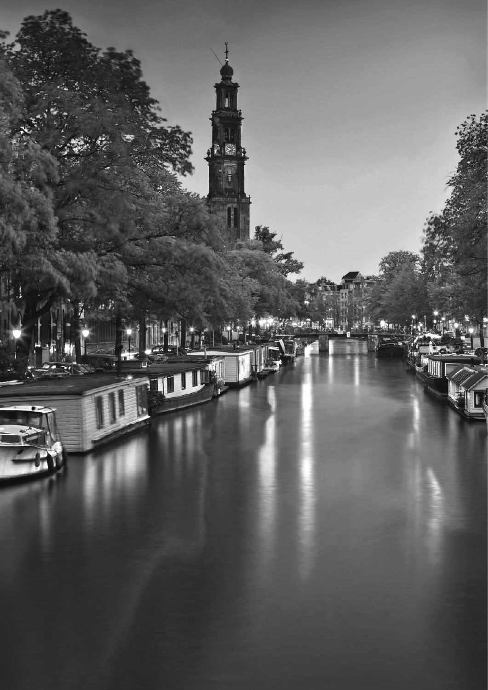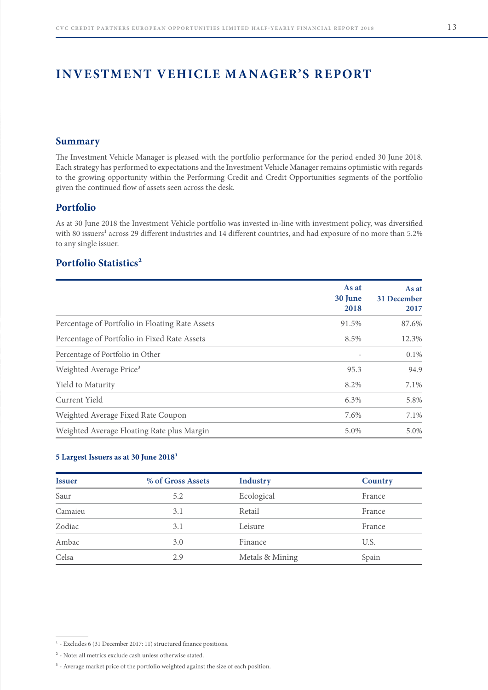### **Summary**

The Investment Vehicle Manager is pleased with the portfolio performance for the period ended 30 June 2018. Each strategy has performed to expectations and the Investment Vehicle Manager remains optimistic with regards to the growing opportunity within the Performing Credit and Credit Opportunities segments of the portfolio given the continued flow of assets seen across the desk.

### **Portfolio**

As at 30 June 2018 the Investment Vehicle portfolio was invested in-line with investment policy, was diversified with 80 issuers<sup>1</sup> across 29 different industries and 14 different countries, and had exposure of no more than 5.2% to any single issuer.

# **Portfolio Statistics<sup>2</sup>**

|                                                 | As at<br>30 June<br>2018 | As at<br>31 December<br>2017 |
|-------------------------------------------------|--------------------------|------------------------------|
| Percentage of Portfolio in Floating Rate Assets | 91.5%                    | 87.6%                        |
| Percentage of Portfolio in Fixed Rate Assets    | 8.5%                     | 12.3%                        |
| Percentage of Portfolio in Other                |                          | $0.1\%$                      |
| Weighted Average Price <sup>3</sup>             | 95.3                     | 94.9                         |
| Yield to Maturity                               | 8.2%                     | 7.1%                         |
| Current Yield                                   | 6.3%                     | 5.8%                         |
| Weighted Average Fixed Rate Coupon              | 7.6%                     | 7.1%                         |
| Weighted Average Floating Rate plus Margin      | 5.0%                     | 5.0%                         |

#### **5 Largest Issuers as at 30 June 20181**

| <b>Issuer</b> | % of Gross Assets | <b>Industry</b> | <b>Country</b> |
|---------------|-------------------|-----------------|----------------|
| Saur          | 5.2               | Ecological      | France         |
| Camaieu       | 3.1               | Retail          | France         |
| Zodiac        | 3.1               | Leisure         | France         |
| Ambac         | 3.0               | Finance         | U.S.           |
| Celsa         | 2.9               | Metals & Mining | Spain          |

<sup>1</sup> - Excludes 6 (31 December 2017: 11) structured finance positions.

<sup>2</sup> - Note: all metrics exclude cash unless otherwise stated.

<sup>&</sup>lt;sup>3</sup> - Average market price of the portfolio weighted against the size of each position.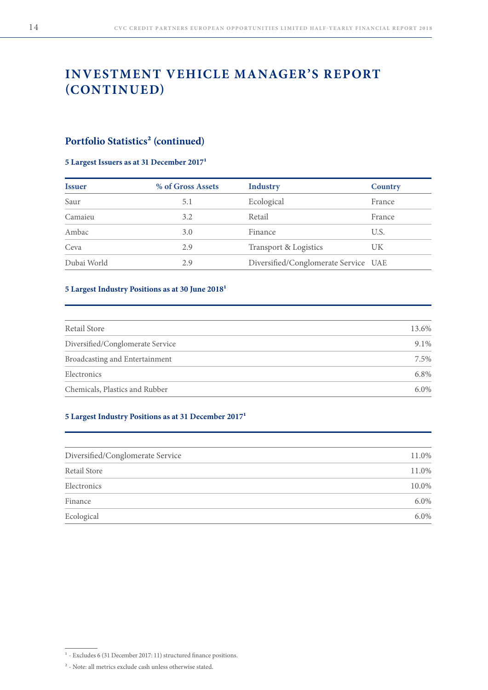# Portfolio Statistics<sup>2</sup> (continued)

### **5 Largest Issuers as at 31 December 20171**

| <b>Issuer</b> | % of Gross Assets | <b>Industry</b>                      | <b>Country</b> |
|---------------|-------------------|--------------------------------------|----------------|
| Saur          | 5.1               | Ecological                           | France         |
| Camaieu       | 3.2               | Retail                               | France         |
| Ambac         | 3.0               | Finance                              | U.S.           |
| Ceva          | 2.9               | Transport & Logistics                | UK             |
| Dubai World   | 2.9               | Diversified/Conglomerate Service UAE |                |

### **5 Largest Industry Positions as at 30 June 20181**

| Retail Store                     | 13.6%   |
|----------------------------------|---------|
| Diversified/Conglomerate Service | 9.1%    |
| Broadcasting and Entertainment   | 7.5%    |
| Electronics                      | 6.8%    |
| Chemicals, Plastics and Rubber   | $6.0\%$ |

#### **5 Largest Industry Positions as at 31 December 20171**

| Diversified/Conglomerate Service | 11.0% |
|----------------------------------|-------|
| Retail Store                     | 11.0% |
| Electronics                      | 10.0% |
| Finance                          | 6.0%  |
| Ecological                       | 6.0%  |

<sup>1</sup> - Excludes 6 (31 December 2017: 11) structured finance positions.

<sup>2</sup> - Note: all metrics exclude cash unless otherwise stated.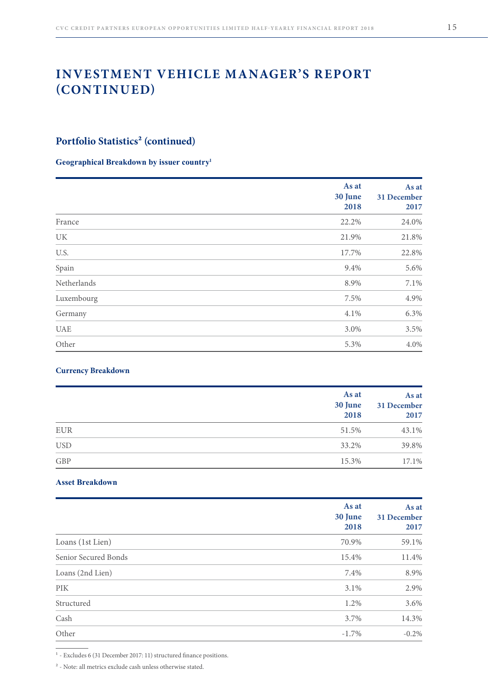# Portfolio Statistics<sup>2</sup> (continued)

**Geographical Breakdown by issuer country1**

|             | As at<br>30 June<br>2018 | As at<br>31 December<br>2017 |
|-------------|--------------------------|------------------------------|
| France      | 22.2%                    | 24.0%                        |
| UK          | 21.9%                    | 21.8%                        |
| U.S.        | 17.7%                    | 22.8%                        |
| Spain       | 9.4%                     | 5.6%                         |
| Netherlands | 8.9%                     | 7.1%                         |
| Luxembourg  | 7.5%                     | 4.9%                         |
| Germany     | 4.1%                     | 6.3%                         |
| <b>UAE</b>  | 3.0%                     | 3.5%                         |
| Other       | 5.3%                     | 4.0%                         |

#### **Currency Breakdown**

|            | As at<br>30 June<br>2018 | As at<br>31 December<br>2017 |
|------------|--------------------------|------------------------------|
| <b>EUR</b> | 51.5%                    | 43.1%                        |
| <b>USD</b> | 33.2%                    | 39.8%                        |
| <b>GBP</b> | 15.3%                    | 17.1%                        |

### **Asset Breakdown**

|                      | As at<br>30 June<br>2018 | As at<br>31 December<br>2017 |
|----------------------|--------------------------|------------------------------|
| Loans (1st Lien)     | 70.9%                    | 59.1%                        |
| Senior Secured Bonds | 15.4%                    | 11.4%                        |
| Loans (2nd Lien)     | 7.4%                     | 8.9%                         |
| <b>PIK</b>           | 3.1%                     | 2.9%                         |
| Structured           | 1.2%                     | 3.6%                         |
| Cash                 | 3.7%                     | 14.3%                        |
| Other                | $-1.7\%$                 | $-0.2\%$                     |

<sup>1</sup> - Excludes 6 (31 December 2017: 11) structured finance positions.

2 - Note: all metrics exclude cash unless otherwise stated.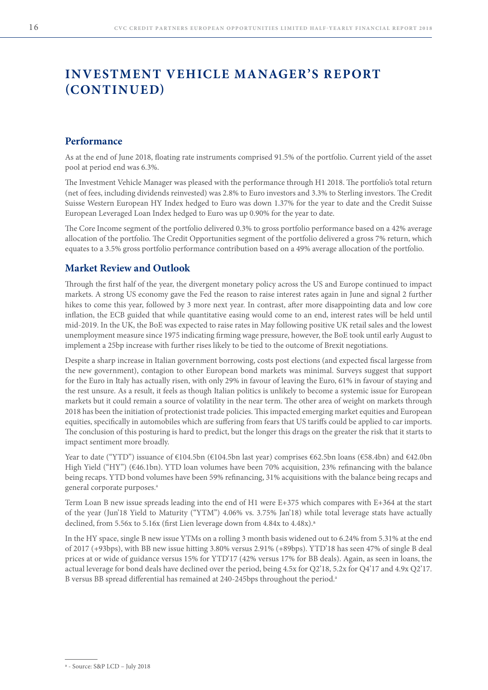## **Performance**

As at the end of June 2018, floating rate instruments comprised 91.5% of the portfolio. Current yield of the asset pool at period end was 6.3%.

The Investment Vehicle Manager was pleased with the performance through H1 2018. The portfolio's total return (net of fees, including dividends reinvested) was 2.8% to Euro investors and 3.3% to Sterling investors. The Credit Suisse Western European HY Index hedged to Euro was down 1.37% for the year to date and the Credit Suisse European Leveraged Loan Index hedged to Euro was up 0.90% for the year to date.

The Core Income segment of the portfolio delivered 0.3% to gross portfolio performance based on a 42% average allocation of the portfolio. The Credit Opportunities segment of the portfolio delivered a gross 7% return, which equates to a 3.5% gross portfolio performance contribution based on a 49% average allocation of the portfolio.

### **Market Review and Outlook**

Through the first half of the year, the divergent monetary policy across the US and Europe continued to impact markets. A strong US economy gave the Fed the reason to raise interest rates again in June and signal 2 further hikes to come this year, followed by 3 more next year. In contrast, after more disappointing data and low core inflation, the ECB guided that while quantitative easing would come to an end, interest rates will be held until mid-2019. In the UK, the BoE was expected to raise rates in May following positive UK retail sales and the lowest unemployment measure since 1975 indicating firming wage pressure, however, the BoE took until early August to implement a 25bp increase with further rises likely to be tied to the outcome of Brexit negotiations.

Despite a sharp increase in Italian government borrowing, costs post elections (and expected fiscal largesse from the new government), contagion to other European bond markets was minimal. Surveys suggest that support for the Euro in Italy has actually risen, with only 29% in favour of leaving the Euro, 61% in favour of staying and the rest unsure. As a result, it feels as though Italian politics is unlikely to become a systemic issue for European markets but it could remain a source of volatility in the near term. The other area of weight on markets through 2018 has been the initiation of protectionist trade policies. This impacted emerging market equities and European equities, specifically in automobiles which are suffering from fears that US tariffs could be applied to car imports. The conclusion of this posturing is hard to predict, but the longer this drags on the greater the risk that it starts to impact sentiment more broadly.

Year to date ("YTD") issuance of €104.5bn (€104.5bn last year) comprises €62.5bn loans (€58.4bn) and €42.0bn High Yield ("HY") (€46.1bn). YTD loan volumes have been 70% acquisition, 23% refinancing with the balance being recaps. YTD bond volumes have been 59% refinancing, 31% acquisitions with the balance being recaps and general corporate purposes. a

Term Loan B new issue spreads leading into the end of H1 were E+375 which compares with E+364 at the start of the year (Jun'18 Yield to Maturity ("YTM") 4.06% vs. 3.75% Jan'18) while total leverage stats have actually declined, from 5.56x to 5.16x (first Lien leverage down from 4.84x to 4.48x).<sup>a</sup>

In the HY space, single B new issue YTMs on a rolling 3 month basis widened out to 6.24% from 5.31% at the end of 2017 (+93bps), with BB new issue hitting 3.80% versus 2.91% (+89bps). YTD'18 has seen 47% of single B deal prices at or wide of guidance versus 15% for YTD'17 (42% versus 17% for BB deals). Again, as seen in loans, the actual leverage for bond deals have declined over the period, being 4.5x for Q2'18, 5.2x for Q4'17 and 4.9x Q2'17. B versus BB spread differential has remained at 240-245bps throughout the period.<sup>8</sup>

a - Source: S&P LCD – July 2018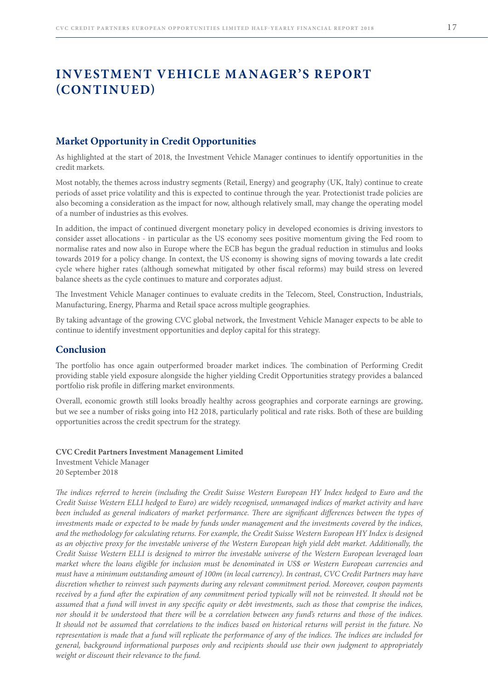### **Market Opportunity in Credit Opportunities**

As highlighted at the start of 2018, the Investment Vehicle Manager continues to identify opportunities in the credit markets.

Most notably, the themes across industry segments (Retail, Energy) and geography (UK, Italy) continue to create periods of asset price volatility and this is expected to continue through the year. Protectionist trade policies are also becoming a consideration as the impact for now, although relatively small, may change the operating model of a number of industries as this evolves.

In addition, the impact of continued divergent monetary policy in developed economies is driving investors to consider asset allocations - in particular as the US economy sees positive momentum giving the Fed room to normalise rates and now also in Europe where the ECB has begun the gradual reduction in stimulus and looks towards 2019 for a policy change. In context, the US economy is showing signs of moving towards a late credit cycle where higher rates (although somewhat mitigated by other fiscal reforms) may build stress on levered balance sheets as the cycle continues to mature and corporates adjust.

The Investment Vehicle Manager continues to evaluate credits in the Telecom, Steel, Construction, Industrials, Manufacturing, Energy, Pharma and Retail space across multiple geographies.

By taking advantage of the growing CVC global network, the Investment Vehicle Manager expects to be able to continue to identify investment opportunities and deploy capital for this strategy.

#### **Conclusion**

The portfolio has once again outperformed broader market indices. The combination of Performing Credit providing stable yield exposure alongside the higher yielding Credit Opportunities strategy provides a balanced portfolio risk profile in differing market environments.

Overall, economic growth still looks broadly healthy across geographies and corporate earnings are growing, but we see a number of risks going into H2 2018, particularly political and rate risks. Both of these are building opportunities across the credit spectrum for the strategy.

**CVC Credit Partners Investment Management Limited** Investment Vehicle Manager 20 September 2018

*The indices referred to herein (including the Credit Suisse Western European HY Index hedged to Euro and the Credit Suisse Western ELLI hedged to Euro) are widely recognised, unmanaged indices of market activity and have been included as general indicators of market performance. There are significant differences between the types of investments made or expected to be made by funds under management and the investments covered by the indices, and the methodology for calculating returns. For example, the Credit Suisse Western European HY Index is designed as an objective proxy for the investable universe of the Western European high yield debt market. Additionally, the Credit Suisse Western ELLI is designed to mirror the investable universe of the Western European leveraged loan market where the loans eligible for inclusion must be denominated in US\$ or Western European currencies and must have a minimum outstanding amount of 100m (in local currency). In contrast, CVC Credit Partners may have discretion whether to reinvest such payments during any relevant commitment period. Moreover, coupon payments received by a fund after the expiration of any commitment period typically will not be reinvested. It should not be assumed that a fund will invest in any specific equity or debt investments, such as those that comprise the indices, nor should it be understood that there will be a correlation between any fund's returns and those of the indices. It should not be assumed that correlations to the indices based on historical returns will persist in the future. No representation is made that a fund will replicate the performance of any of the indices. The indices are included for general, background informational purposes only and recipients should use their own judgment to appropriately weight or discount their relevance to the fund.*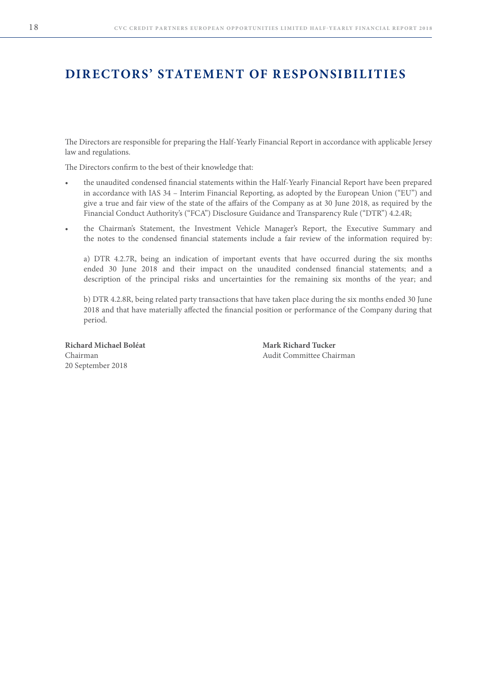# **DIRECTORS' STATEMENT OF RESPONSIBILITIES**

The Directors are responsible for preparing the Half-Yearly Financial Report in accordance with applicable Jersey law and regulations.

The Directors confirm to the best of their knowledge that:

- the unaudited condensed financial statements within the Half-Yearly Financial Report have been prepared in accordance with IAS 34 – Interim Financial Reporting, as adopted by the European Union ("EU") and give a true and fair view of the state of the affairs of the Company as at 30 June 2018, as required by the Financial Conduct Authority's ("FCA") Disclosure Guidance and Transparency Rule ("DTR") 4.2.4R;
- the Chairman's Statement, the Investment Vehicle Manager's Report, the Executive Summary and the notes to the condensed financial statements include a fair review of the information required by:

a) DTR 4.2.7R, being an indication of important events that have occurred during the six months ended 30 June 2018 and their impact on the unaudited condensed financial statements; and a description of the principal risks and uncertainties for the remaining six months of the year; and

b) DTR 4.2.8R, being related party transactions that have taken place during the six months ended 30 June 2018 and that have materially affected the financial position or performance of the Company during that period.

**Richard Michael Boléat Mark Richard Tucker** 20 September 2018

Chairman Audit Committee Chairman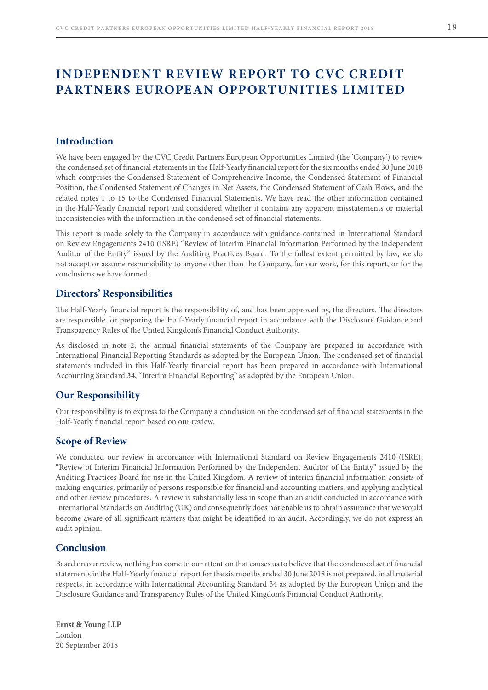# **INDEPENDENT REVIEW REPORT TO CVC CREDIT PARTNERS EUROPEAN OPPORTUNITIES LIMITED**

### **Introduction**

We have been engaged by the CVC Credit Partners European Opportunities Limited (the 'Company') to review the condensed set of financial statements in the Half-Yearly financial report for the six months ended 30 June 2018 which comprises the Condensed Statement of Comprehensive Income, the Condensed Statement of Financial Position, the Condensed Statement of Changes in Net Assets, the Condensed Statement of Cash Flows, and the related notes 1 to 15 to the Condensed Financial Statements. We have read the other information contained in the Half-Yearly financial report and considered whether it contains any apparent misstatements or material inconsistencies with the information in the condensed set of financial statements.

This report is made solely to the Company in accordance with guidance contained in International Standard on Review Engagements 2410 (ISRE) "Review of Interim Financial Information Performed by the Independent Auditor of the Entity" issued by the Auditing Practices Board. To the fullest extent permitted by law, we do not accept or assume responsibility to anyone other than the Company, for our work, for this report, or for the conclusions we have formed.

### **Directors' Responsibilities**

The Half-Yearly financial report is the responsibility of, and has been approved by, the directors. The directors are responsible for preparing the Half-Yearly financial report in accordance with the Disclosure Guidance and Transparency Rules of the United Kingdom's Financial Conduct Authority.

As disclosed in note 2, the annual financial statements of the Company are prepared in accordance with International Financial Reporting Standards as adopted by the European Union. The condensed set of financial statements included in this Half-Yearly financial report has been prepared in accordance with International Accounting Standard 34, "Interim Financial Reporting" as adopted by the European Union.

### **Our Responsibility**

Our responsibility is to express to the Company a conclusion on the condensed set of financial statements in the Half-Yearly financial report based on our review.

### **Scope of Review**

We conducted our review in accordance with International Standard on Review Engagements 2410 (ISRE), "Review of Interim Financial Information Performed by the Independent Auditor of the Entity" issued by the Auditing Practices Board for use in the United Kingdom. A review of interim financial information consists of making enquiries, primarily of persons responsible for financial and accounting matters, and applying analytical and other review procedures. A review is substantially less in scope than an audit conducted in accordance with International Standards on Auditing (UK) and consequently does not enable us to obtain assurance that we would become aware of all significant matters that might be identified in an audit. Accordingly, we do not express an audit opinion.

### **Conclusion**

Based on our review, nothing has come to our attention that causes us to believe that the condensed set of financial statements in the Half-Yearly financial report for the six months ended 30 June 2018 is not prepared, in all material respects, in accordance with International Accounting Standard 34 as adopted by the European Union and the Disclosure Guidance and Transparency Rules of the United Kingdom's Financial Conduct Authority.

**Ernst & Young LLP** London 20 September 2018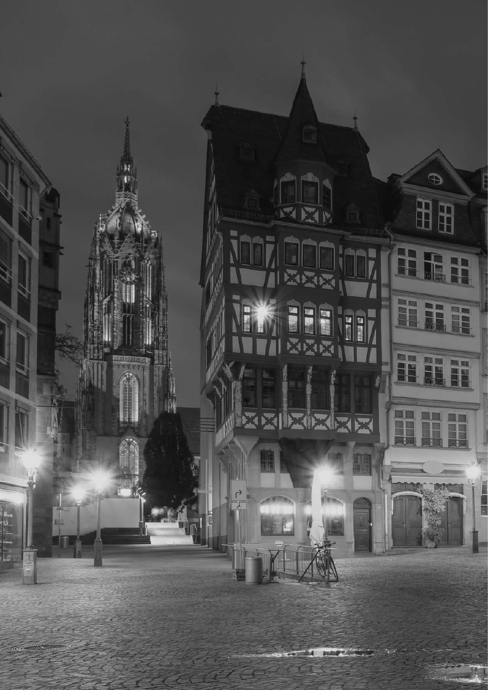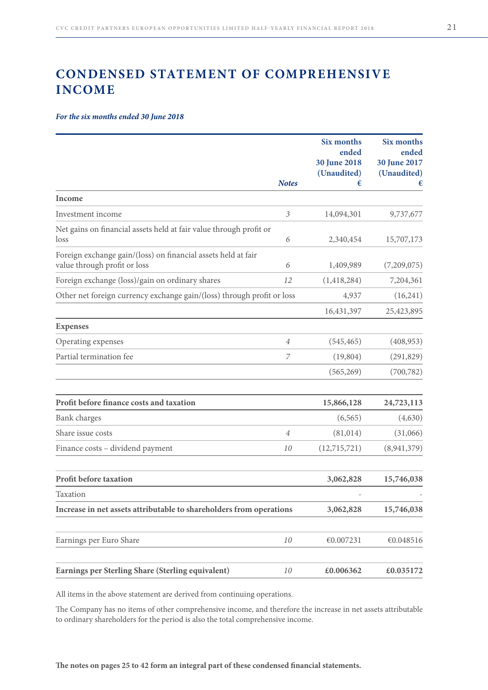# **CONDENSED STATEMENT OF COMPREHENSIVE INCOME**

#### *For the six months ended 30 June 2018*

|                                                                                               |                | <b>Six months</b><br>ended<br><b>30 June 2018</b><br>(Unaudited) | Six months<br>ended<br><b>30 June 2017</b><br>(Unaudited) |
|-----------------------------------------------------------------------------------------------|----------------|------------------------------------------------------------------|-----------------------------------------------------------|
|                                                                                               | <b>Notes</b>   | €                                                                | €                                                         |
| Income                                                                                        |                |                                                                  |                                                           |
| Investment income                                                                             | $\mathfrak{Z}$ | 14,094,301                                                       | 9,737,677                                                 |
| Net gains on financial assets held at fair value through profit or<br>loss                    | 6              | 2,340,454                                                        | 15,707,173                                                |
| Foreign exchange gain/(loss) on financial assets held at fair<br>value through profit or loss | 6              | 1,409,989                                                        | (7,209,075)                                               |
| Foreign exchange (loss)/gain on ordinary shares                                               | 12             | (1,418,284)                                                      | 7,204,361                                                 |
| Other net foreign currency exchange gain/(loss) through profit or loss                        |                | 4,937                                                            | (16,241)                                                  |
|                                                                                               |                | 16,431,397                                                       | 25,423,895                                                |
| <b>Expenses</b>                                                                               |                |                                                                  |                                                           |
| Operating expenses                                                                            | 4              | (545, 465)                                                       | (408, 953)                                                |
| Partial termination fee                                                                       | 7              | (19, 804)                                                        | (291, 829)                                                |
|                                                                                               |                | (565,269)                                                        | (700, 782)                                                |
| Profit before finance costs and taxation                                                      |                | 15,866,128                                                       | 24,723,113                                                |
| <b>Bank</b> charges                                                                           |                | (6, 565)                                                         | (4,630)                                                   |
| Share issue costs                                                                             | 4              | (81, 014)                                                        | (31,066)                                                  |
| Finance costs - dividend payment                                                              | 10             | (12,715,721)                                                     | (8,941,379)                                               |
| Profit before taxation                                                                        |                | 3,062,828                                                        | 15,746,038                                                |
| Taxation                                                                                      |                |                                                                  |                                                           |
| Increase in net assets attributable to shareholders from operations                           |                | 3,062,828                                                        | 15,746,038                                                |
| Earnings per Euro Share                                                                       | $10\,$         | €0.007231                                                        | €0.048516                                                 |
| Earnings per Sterling Share (Sterling equivalent)                                             | 10             | £0.006362                                                        | £0.035172                                                 |

All items in the above statement are derived from continuing operations.

The Company has no items of other comprehensive income, and therefore the increase in net assets attributable to ordinary shareholders for the period is also the total comprehensive income.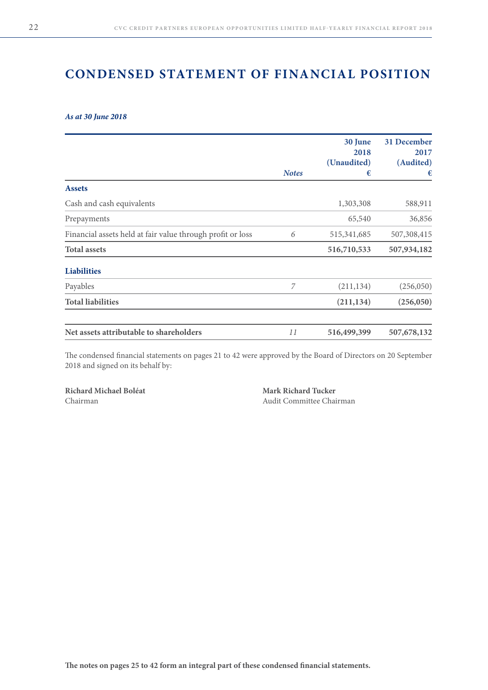# **CONDENSED STATEMENT OF FINANCIAL POSITION**

#### *As at 30 June 2018*

|                                                            |              | 30 June<br>2018<br>(Unaudited) | 31 December<br>2017<br>(Audited) |
|------------------------------------------------------------|--------------|--------------------------------|----------------------------------|
|                                                            | <b>Notes</b> | €                              | €                                |
| <b>Assets</b>                                              |              |                                |                                  |
| Cash and cash equivalents                                  |              | 1,303,308                      | 588,911                          |
| Prepayments                                                |              | 65,540                         | 36,856                           |
| Financial assets held at fair value through profit or loss | 6            | 515,341,685                    | 507,308,415                      |
| <b>Total assets</b>                                        |              | 516,710,533                    | 507,934,182                      |
| <b>Liabilities</b>                                         |              |                                |                                  |
| Payables                                                   | 7            | (211, 134)                     | (256,050)                        |
| <b>Total liabilities</b>                                   |              | (211, 134)                     | (256, 050)                       |
| Net assets attributable to shareholders                    | 11           | 516,499,399                    | 507,678,132                      |

The condensed financial statements on pages 21 to 42 were approved by the Board of Directors on 20 September 2018 and signed on its behalf by:

**Richard Michael Boléat Mark Richard Tucker**<br> **Mark Richard Tucker**<br> **Mark Richard Tucker**<br> **Mark Richard Tucker** 

Audit Committee Chairman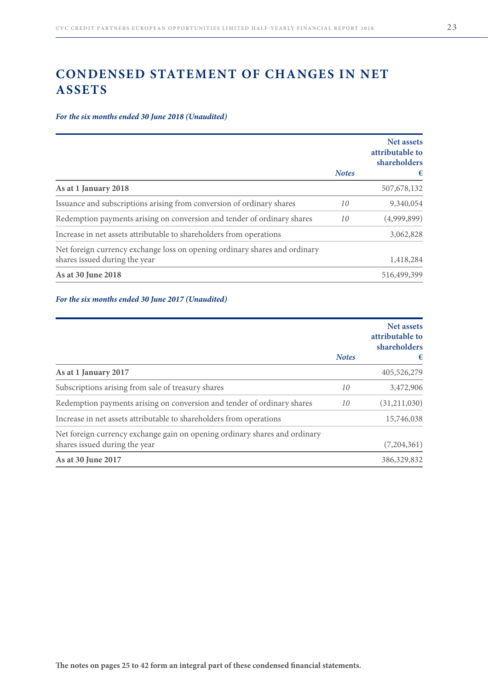# **CONDENSED STATEMENT OF CHANGES IN NET ASSETS**

#### *For the six months ended 30 June 2018 (Unaudited)*

|                                                                                                             | <b>Notes</b> | <b>Net assets</b><br>attributable to<br>shareholders<br>€ |
|-------------------------------------------------------------------------------------------------------------|--------------|-----------------------------------------------------------|
| As at 1 January 2018                                                                                        |              | 507,678,132                                               |
| Issuance and subscriptions arising from conversion of ordinary shares                                       | 10           | 9,340,054                                                 |
| Redemption payments arising on conversion and tender of ordinary shares                                     | 10           | (4,999,899)                                               |
| Increase in net assets attributable to shareholders from operations                                         |              | 3,062,828                                                 |
| Net foreign currency exchange loss on opening ordinary shares and ordinary<br>shares issued during the year |              | 1,418,284                                                 |
| As at 30 June 2018                                                                                          |              | 516,499,399                                               |

#### *For the six months ended 30 June 2017 (Unaudited)*

|                                                                                                             | <b>Notes</b> | <b>Net assets</b><br>attributable to<br>shareholders<br>€ |
|-------------------------------------------------------------------------------------------------------------|--------------|-----------------------------------------------------------|
| As at 1 January 2017                                                                                        |              | 405,526,279                                               |
| Subscriptions arising from sale of treasury shares                                                          | 10           | 3,472,906                                                 |
| Redemption payments arising on conversion and tender of ordinary shares                                     | 10           | (31,211,030)                                              |
| Increase in net assets attributable to shareholders from operations                                         |              | 15,746,038                                                |
| Net foreign currency exchange gain on opening ordinary shares and ordinary<br>shares issued during the year |              | (7,204,361)                                               |
| As at 30 June 2017                                                                                          |              | 386, 329, 832                                             |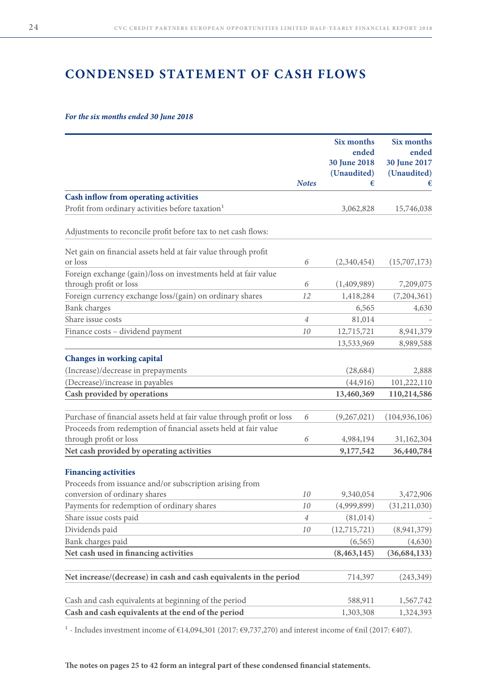# **CONDENSED STATEMENT OF CASH FLOWS**

#### *For the six months ended 30 June 2018*

|                                                                                          |              | Six months<br>ended<br><b>30 June 2018</b> | Six months<br>ended<br>30 June 2017 |
|------------------------------------------------------------------------------------------|--------------|--------------------------------------------|-------------------------------------|
|                                                                                          | <b>Notes</b> | (Unaudited)<br>€                           | (Unaudited)<br>€                    |
| Cash inflow from operating activities                                                    |              |                                            |                                     |
| Profit from ordinary activities before taxation <sup>1</sup>                             |              | 3,062,828                                  | 15,746,038                          |
| Adjustments to reconcile profit before tax to net cash flows:                            |              |                                            |                                     |
| Net gain on financial assets held at fair value through profit<br>or loss                | 6            | (2,340,454)                                | (15,707,173)                        |
| Foreign exchange (gain)/loss on investments held at fair value<br>through profit or loss | 6            | (1,409,989)                                | 7,209,075                           |
| Foreign currency exchange loss/(gain) on ordinary shares                                 | 12           | 1,418,284                                  | (7,204,361)                         |
| <b>Bank</b> charges                                                                      |              | 6,565                                      | 4,630                               |
| Share issue costs                                                                        | $\sqrt{4}$   | 81,014                                     |                                     |
| Finance costs - dividend payment                                                         | 10           | 12,715,721                                 | 8,941,379                           |
|                                                                                          |              | 13,533,969                                 | 8,989,588                           |
| Changes in working capital                                                               |              |                                            |                                     |
| (Increase)/decrease in prepayments                                                       |              | (28, 684)                                  | 2,888                               |
| (Decrease)/increase in payables                                                          |              | (44, 916)                                  | 101,222,110                         |
| Cash provided by operations                                                              |              | 13,460,369                                 | 110,214,586                         |
| Purchase of financial assets held at fair value through profit or loss                   | 6            | (9,267,021)                                | (104, 936, 106)                     |
| Proceeds from redemption of financial assets held at fair value                          |              |                                            |                                     |
| through profit or loss                                                                   | 6            | 4,984,194                                  | 31,162,304                          |
| Net cash provided by operating activities                                                |              | 9,177,542                                  | 36,440,784                          |
| <b>Financing activities</b>                                                              |              |                                            |                                     |
| Proceeds from issuance and/or subscription arising from<br>conversion of ordinary shares | 10           | 9,340,054                                  | 3,472,906                           |
| Payments for redemption of ordinary shares                                               | 10           | (4,999,899)                                | (31,211,030)                        |
| Share issue costs paid                                                                   | 4            | (81, 014)                                  |                                     |
| Dividends paid                                                                           | 10           | (12,715,721)                               | (8,941,379)                         |
| Bank charges paid                                                                        |              | (6, 565)                                   | (4,630)                             |
| Net cash used in financing activities                                                    |              | (8, 463, 145)                              | (36, 684, 133)                      |
|                                                                                          |              |                                            |                                     |
| Net increase/(decrease) in cash and cash equivalents in the period                       |              | 714,397                                    | (243, 349)                          |
| Cash and cash equivalents at beginning of the period                                     |              | 588,911                                    | 1,567,742                           |
| Cash and cash equivalents at the end of the period                                       |              | 1,303,308                                  | 1,324,393                           |

<sup>1</sup> - Includes investment income of €14,094,301 (2017: €9,737,270) and interest income of  $\epsilon$ nil (2017: €407).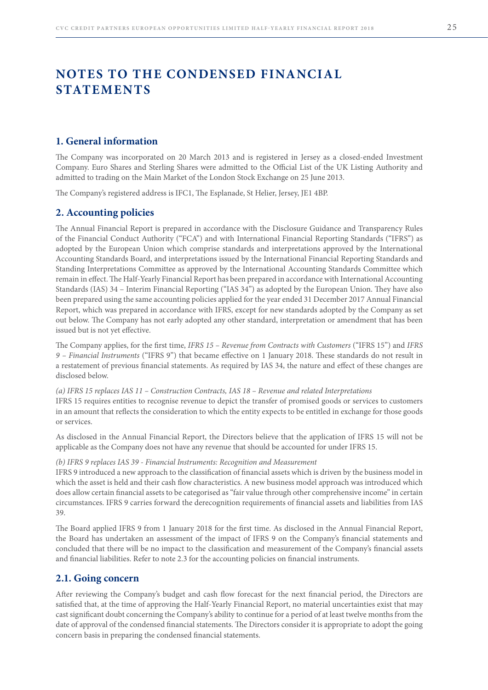# **NOTES TO THE CONDENSED FINANCIAL STATEMENTS**

### **1. General information**

The Company was incorporated on 20 March 2013 and is registered in Jersey as a closed-ended Investment Company. Euro Shares and Sterling Shares were admitted to the Official List of the UK Listing Authority and admitted to trading on the Main Market of the London Stock Exchange on 25 June 2013.

The Company's registered address is IFC1, The Esplanade, St Helier, Jersey, JE1 4BP.

#### **2. Accounting policies**

The Annual Financial Report is prepared in accordance with the Disclosure Guidance and Transparency Rules of the Financial Conduct Authority ("FCA") and with International Financial Reporting Standards ("IFRS") as adopted by the European Union which comprise standards and interpretations approved by the International Accounting Standards Board, and interpretations issued by the International Financial Reporting Standards and Standing Interpretations Committee as approved by the International Accounting Standards Committee which remain in effect. The Half-Yearly Financial Report has been prepared in accordance with International Accounting Standards (IAS) 34 – Interim Financial Reporting ("IAS 34") as adopted by the European Union. They have also been prepared using the same accounting policies applied for the year ended 31 December 2017 Annual Financial Report, which was prepared in accordance with IFRS, except for new standards adopted by the Company as set out below. The Company has not early adopted any other standard, interpretation or amendment that has been issued but is not yet effective.

The Company applies, for the first time, *IFRS 15 – Revenue from Contracts with Customers* ("IFRS 15") and *IFRS 9 – Financial Instruments* ("IFRS 9") that became effective on 1 January 2018. These standards do not result in a restatement of previous financial statements. As required by IAS 34, the nature and effect of these changes are disclosed below.

*(a) IFRS 15 replaces IAS 11 – Construction Contracts, IAS 18 – Revenue and related Interpretations* IFRS 15 requires entities to recognise revenue to depict the transfer of promised goods or services to customers in an amount that reflects the consideration to which the entity expects to be entitled in exchange for those goods or services.

As disclosed in the Annual Financial Report, the Directors believe that the application of IFRS 15 will not be applicable as the Company does not have any revenue that should be accounted for under IFRS 15.

#### *(b) IFRS 9 replaces IAS 39 - Financial Instruments: Recognition and Measurement*

IFRS 9 introduced a new approach to the classification of financial assets which is driven by the business model in which the asset is held and their cash flow characteristics. A new business model approach was introduced which does allow certain financial assets to be categorised as "fair value through other comprehensive income" in certain circumstances. IFRS 9 carries forward the derecognition requirements of financial assets and liabilities from IAS 39.

The Board applied IFRS 9 from 1 January 2018 for the first time. As disclosed in the Annual Financial Report, the Board has undertaken an assessment of the impact of IFRS 9 on the Company's financial statements and concluded that there will be no impact to the classification and measurement of the Company's financial assets and financial liabilities. Refer to note 2.3 for the accounting policies on financial instruments.

### **2.1. Going concern**

After reviewing the Company's budget and cash flow forecast for the next financial period, the Directors are satisfied that, at the time of approving the Half-Yearly Financial Report, no material uncertainties exist that may cast significant doubt concerning the Company's ability to continue for a period of at least twelve months from the date of approval of the condensed financial statements. The Directors consider it is appropriate to adopt the going concern basis in preparing the condensed financial statements.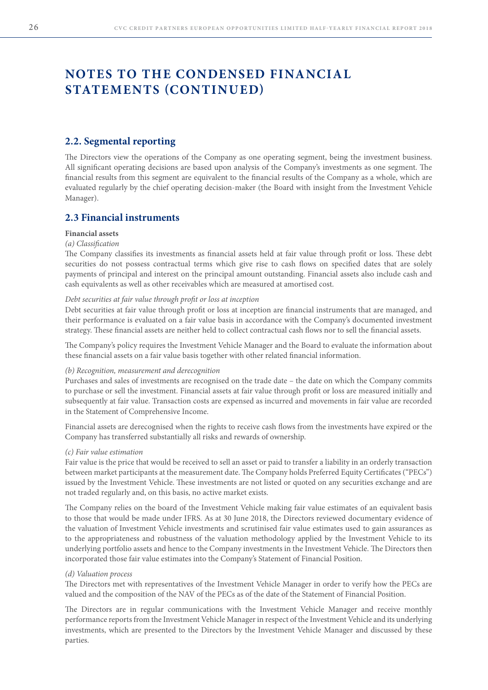### **2.2. Segmental reporting**

The Directors view the operations of the Company as one operating segment, being the investment business. All significant operating decisions are based upon analysis of the Company's investments as one segment. The financial results from this segment are equivalent to the financial results of the Company as a whole, which are evaluated regularly by the chief operating decision-maker (the Board with insight from the Investment Vehicle Manager).

### **2.3 Financial instruments**

#### **Financial assets**

#### *(a) Classification*

The Company classifies its investments as financial assets held at fair value through profit or loss. These debt securities do not possess contractual terms which give rise to cash flows on specified dates that are solely payments of principal and interest on the principal amount outstanding. Financial assets also include cash and cash equivalents as well as other receivables which are measured at amortised cost.

#### *Debt securities at fair value through profit or loss at inception*

Debt securities at fair value through profit or loss at inception are financial instruments that are managed, and their performance is evaluated on a fair value basis in accordance with the Company's documented investment strategy. These financial assets are neither held to collect contractual cash flows nor to sell the financial assets.

The Company's policy requires the Investment Vehicle Manager and the Board to evaluate the information about these financial assets on a fair value basis together with other related financial information.

#### *(b) Recognition, measurement and derecognition*

Purchases and sales of investments are recognised on the trade date – the date on which the Company commits to purchase or sell the investment. Financial assets at fair value through profit or loss are measured initially and subsequently at fair value. Transaction costs are expensed as incurred and movements in fair value are recorded in the Statement of Comprehensive Income.

Financial assets are derecognised when the rights to receive cash flows from the investments have expired or the Company has transferred substantially all risks and rewards of ownership.

#### *(c) Fair value estimation*

Fair value is the price that would be received to sell an asset or paid to transfer a liability in an orderly transaction between market participants at the measurement date. The Company holds Preferred Equity Certificates ("PECs") issued by the Investment Vehicle. These investments are not listed or quoted on any securities exchange and are not traded regularly and, on this basis, no active market exists.

The Company relies on the board of the Investment Vehicle making fair value estimates of an equivalent basis to those that would be made under IFRS. As at 30 June 2018, the Directors reviewed documentary evidence of the valuation of Investment Vehicle investments and scrutinised fair value estimates used to gain assurances as to the appropriateness and robustness of the valuation methodology applied by the Investment Vehicle to its underlying portfolio assets and hence to the Company investments in the Investment Vehicle. The Directors then incorporated those fair value estimates into the Company's Statement of Financial Position.

#### *(d) Valuation process*

The Directors met with representatives of the Investment Vehicle Manager in order to verify how the PECs are valued and the composition of the NAV of the PECs as of the date of the Statement of Financial Position.

The Directors are in regular communications with the Investment Vehicle Manager and receive monthly performance reports from the Investment Vehicle Manager in respect of the Investment Vehicle and its underlying investments, which are presented to the Directors by the Investment Vehicle Manager and discussed by these parties.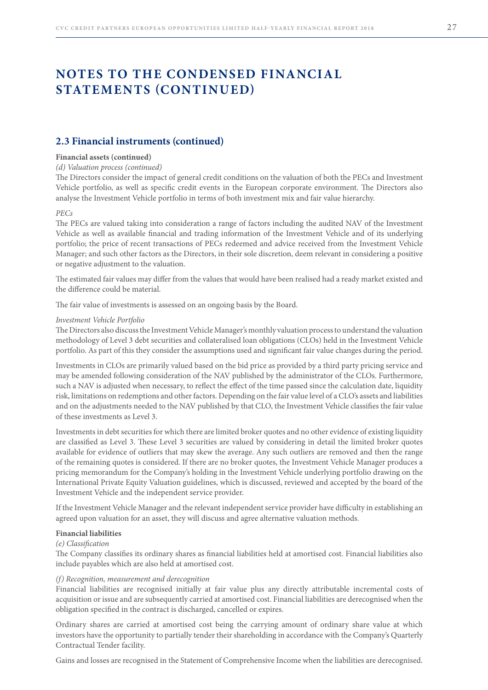### **2.3 Financial instruments (continued)**

#### **Financial assets (continued)**

#### *(d) Valuation process (continued)*

The Directors consider the impact of general credit conditions on the valuation of both the PECs and Investment Vehicle portfolio, as well as specific credit events in the European corporate environment. The Directors also analyse the Investment Vehicle portfolio in terms of both investment mix and fair value hierarchy.

#### *PECs*

The PECs are valued taking into consideration a range of factors including the audited NAV of the Investment Vehicle as well as available financial and trading information of the Investment Vehicle and of its underlying portfolio; the price of recent transactions of PECs redeemed and advice received from the Investment Vehicle Manager; and such other factors as the Directors, in their sole discretion, deem relevant in considering a positive or negative adjustment to the valuation.

The estimated fair values may differ from the values that would have been realised had a ready market existed and the difference could be material.

The fair value of investments is assessed on an ongoing basis by the Board.

#### *Investment Vehicle Portfolio*

The Directors also discuss the Investment Vehicle Manager's monthly valuation process to understand the valuation methodology of Level 3 debt securities and collateralised loan obligations (CLOs) held in the Investment Vehicle portfolio. As part of this they consider the assumptions used and significant fair value changes during the period.

Investments in CLOs are primarily valued based on the bid price as provided by a third party pricing service and may be amended following consideration of the NAV published by the administrator of the CLOs. Furthermore, such a NAV is adjusted when necessary, to reflect the effect of the time passed since the calculation date, liquidity risk, limitations on redemptions and other factors. Depending on the fair value level of a CLO's assets and liabilities and on the adjustments needed to the NAV published by that CLO, the Investment Vehicle classifies the fair value of these investments as Level 3.

Investments in debt securities for which there are limited broker quotes and no other evidence of existing liquidity are classified as Level 3. These Level 3 securities are valued by considering in detail the limited broker quotes available for evidence of outliers that may skew the average. Any such outliers are removed and then the range of the remaining quotes is considered. If there are no broker quotes, the Investment Vehicle Manager produces a pricing memorandum for the Company's holding in the Investment Vehicle underlying portfolio drawing on the International Private Equity Valuation guidelines, which is discussed, reviewed and accepted by the board of the Investment Vehicle and the independent service provider.

If the Investment Vehicle Manager and the relevant independent service provider have difficulty in establishing an agreed upon valuation for an asset, they will discuss and agree alternative valuation methods.

#### **Financial liabilities**

#### *(e) Classification*

The Company classifies its ordinary shares as financial liabilities held at amortised cost. Financial liabilities also include payables which are also held at amortised cost.

#### *(f) Recognition, measurement and derecognition*

Financial liabilities are recognised initially at fair value plus any directly attributable incremental costs of acquisition or issue and are subsequently carried at amortised cost. Financial liabilities are derecognised when the obligation specified in the contract is discharged, cancelled or expires.

Ordinary shares are carried at amortised cost being the carrying amount of ordinary share value at which investors have the opportunity to partially tender their shareholding in accordance with the Company's Quarterly Contractual Tender facility.

Gains and losses are recognised in the Statement of Comprehensive Income when the liabilities are derecognised.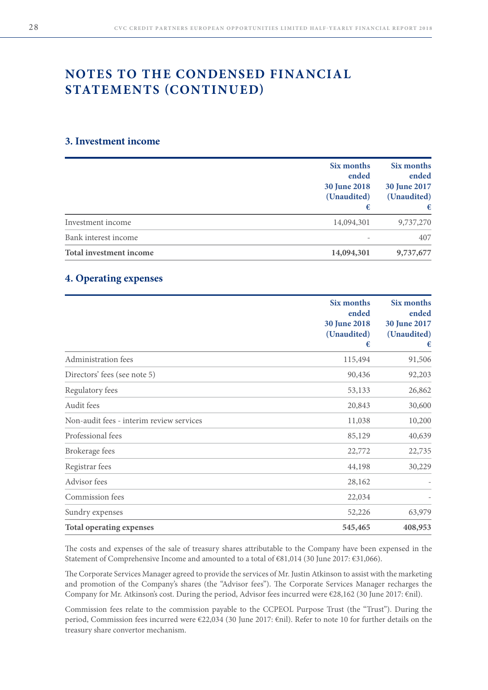### **3. Investment income**

|                         | Six months<br>ended<br><b>30 June 2018</b><br>(Unaudited)<br>€ | Six months<br>ended<br>30 June 2017<br>(Unaudited)<br>€ |
|-------------------------|----------------------------------------------------------------|---------------------------------------------------------|
| Investment income       | 14,094,301                                                     | 9,737,270                                               |
| Bank interest income    |                                                                | 407                                                     |
| Total investment income | 14,094,301                                                     | 9,737,677                                               |

### **4. Operating expenses**

|                                          | Six months<br>ended<br>30 June 2018<br>(Unaudited)<br>€ | Six months<br>ended<br>30 June 2017<br>(Unaudited)<br>€ |
|------------------------------------------|---------------------------------------------------------|---------------------------------------------------------|
| Administration fees                      | 115,494                                                 | 91,506                                                  |
| Directors' fees (see note 5)             | 90,436                                                  | 92,203                                                  |
| Regulatory fees                          | 53,133                                                  | 26,862                                                  |
| Audit fees                               | 20,843                                                  | 30,600                                                  |
| Non-audit fees - interim review services | 11,038                                                  | 10,200                                                  |
| Professional fees                        | 85,129                                                  | 40,639                                                  |
| Brokerage fees                           | 22,772                                                  | 22,735                                                  |
| Registrar fees                           | 44,198                                                  | 30,229                                                  |
| Advisor fees                             | 28,162                                                  |                                                         |
| Commission fees                          | 22,034                                                  |                                                         |
| Sundry expenses                          | 52,226                                                  | 63,979                                                  |
| <b>Total operating expenses</b>          | 545,465                                                 | 408,953                                                 |

The costs and expenses of the sale of treasury shares attributable to the Company have been expensed in the Statement of Comprehensive Income and amounted to a total of €81,014 (30 June 2017: €31,066).

The Corporate Services Manager agreed to provide the services of Mr. Justin Atkinson to assist with the marketing and promotion of the Company's shares (the "Advisor fees"). The Corporate Services Manager recharges the Company for Mr. Atkinson's cost. During the period, Advisor fees incurred were €28,162 (30 June 2017: €nil).

Commission fees relate to the commission payable to the CCPEOL Purpose Trust (the "Trust"). During the period, Commission fees incurred were €22,034 (30 June 2017: €nil). Refer to note 10 for further details on the treasury share convertor mechanism.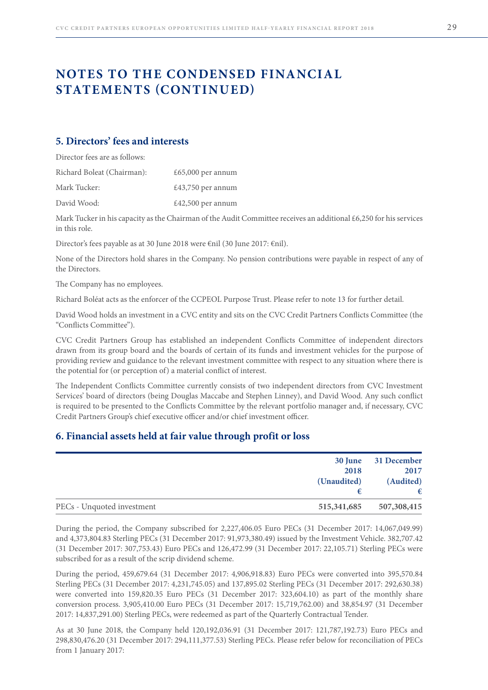## **5. Directors' fees and interests**

Director fees are as follows:

| Richard Boleat (Chairman): | £65,000 per annum |
|----------------------------|-------------------|
| Mark Tucker:               | £43,750 per annum |

David Wood: £42,500 per annum

Mark Tucker in his capacity as the Chairman of the Audit Committee receives an additional £6,250 for his services in this role.

Director's fees payable as at 30 June 2018 were €nil (30 June 2017: €nil).

None of the Directors hold shares in the Company. No pension contributions were payable in respect of any of the Directors.

The Company has no employees.

Richard Boléat acts as the enforcer of the CCPEOL Purpose Trust. Please refer to note 13 for further detail.

David Wood holds an investment in a CVC entity and sits on the CVC Credit Partners Conflicts Committee (the "Conflicts Committee").

CVC Credit Partners Group has established an independent Conflicts Committee of independent directors drawn from its group board and the boards of certain of its funds and investment vehicles for the purpose of providing review and guidance to the relevant investment committee with respect to any situation where there is the potential for (or perception of) a material conflict of interest.

The Independent Conflicts Committee currently consists of two independent directors from CVC Investment Services' board of directors (being Douglas Maccabe and Stephen Linney), and David Wood. Any such conflict is required to be presented to the Conflicts Committee by the relevant portfolio manager and, if necessary, CVC Credit Partners Group's chief executive officer and/or chief investment officer.

### **6. Financial assets held at fair value through profit or loss**

|                            | 30 June     | 31 December |
|----------------------------|-------------|-------------|
|                            | 2018        | 2017        |
|                            | (Unaudited) | (Audited)   |
|                            |             |             |
| PECs - Unquoted investment | 515,341,685 | 507,308,415 |

During the period, the Company subscribed for 2,227,406.05 Euro PECs (31 December 2017: 14,067,049.99) and 4,373,804.83 Sterling PECs (31 December 2017: 91,973,380.49) issued by the Investment Vehicle. 382,707.42 (31 December 2017: 307,753.43) Euro PECs and 126,472.99 (31 December 2017: 22,105.71) Sterling PECs were subscribed for as a result of the scrip dividend scheme.

During the period, 459,679.64 (31 December 2017: 4,906,918.83) Euro PECs were converted into 395,570.84 Sterling PECs (31 December 2017: 4,231,745.05) and 137,895.02 Sterling PECs (31 December 2017: 292,630.38) were converted into 159,820.35 Euro PECs (31 December 2017: 323,604.10) as part of the monthly share conversion process. 3,905,410.00 Euro PECs (31 December 2017: 15,719,762.00) and 38,854.97 (31 December 2017: 14,837,291.00) Sterling PECs, were redeemed as part of the Quarterly Contractual Tender.

As at 30 June 2018, the Company held 120,192,036.91 (31 December 2017: 121,787,192.73) Euro PECs and 298,830,476.20 (31 December 2017: 294,111,377.53) Sterling PECs. Please refer below for reconciliation of PECs from 1 January 2017: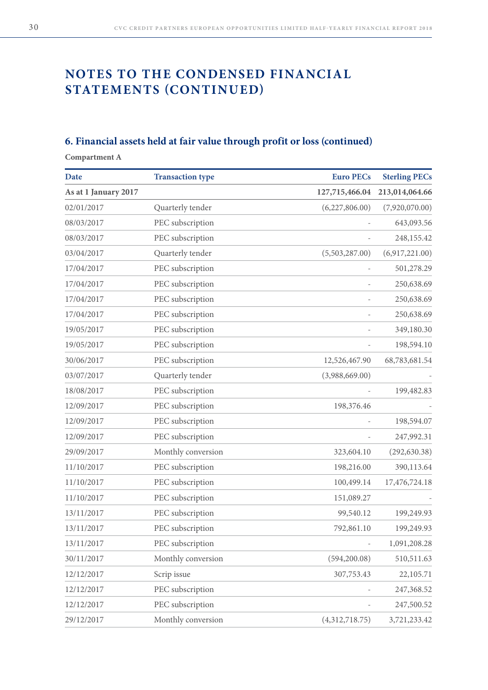# **6. Financial assets held at fair value through profit or loss (continued)**

**Compartment A**

| Date                 | <b>Transaction type</b> | <b>Euro PECs</b> | <b>Sterling PECs</b> |
|----------------------|-------------------------|------------------|----------------------|
| As at 1 January 2017 |                         | 127,715,466.04   | 213,014,064.66       |
| 02/01/2017           | Quarterly tender        | (6,227,806.00)   | (7,920,070.00)       |
| 08/03/2017           | PEC subscription        |                  | 643,093.56           |
| 08/03/2017           | PEC subscription        |                  | 248,155.42           |
| 03/04/2017           | Quarterly tender        | (5,503,287.00)   | (6,917,221.00)       |
| 17/04/2017           | PEC subscription        |                  | 501,278.29           |
| 17/04/2017           | PEC subscription        |                  | 250,638.69           |
| 17/04/2017           | PEC subscription        |                  | 250,638.69           |
| 17/04/2017           | PEC subscription        |                  | 250,638.69           |
| 19/05/2017           | PEC subscription        |                  | 349,180.30           |
| 19/05/2017           | PEC subscription        |                  | 198,594.10           |
| 30/06/2017           | PEC subscription        | 12,526,467.90    | 68,783,681.54        |
| 03/07/2017           | Quarterly tender        | (3,988,669.00)   |                      |
| 18/08/2017           | PEC subscription        |                  | 199,482.83           |
| 12/09/2017           | PEC subscription        | 198,376.46       |                      |
| 12/09/2017           | PEC subscription        |                  | 198,594.07           |
| 12/09/2017           | PEC subscription        |                  | 247,992.31           |
| 29/09/2017           | Monthly conversion      | 323,604.10       | (292, 630.38)        |
| 11/10/2017           | PEC subscription        | 198,216.00       | 390,113.64           |
| 11/10/2017           | PEC subscription        | 100,499.14       | 17,476,724.18        |
| 11/10/2017           | PEC subscription        | 151,089.27       |                      |
| 13/11/2017           | PEC subscription        | 99,540.12        | 199,249.93           |
| 13/11/2017           | PEC subscription        | 792,861.10       | 199,249.93           |
| 13/11/2017           | PEC subscription        |                  | 1,091,208.28         |
| 30/11/2017           | Monthly conversion      | (594, 200.08)    | 510,511.63           |
| 12/12/2017           | Scrip issue             | 307,753.43       | 22,105.71            |
| 12/12/2017           | PEC subscription        |                  | 247,368.52           |
| 12/12/2017           | PEC subscription        |                  | 247,500.52           |
| 29/12/2017           | Monthly conversion      | (4,312,718.75)   | 3,721,233.42         |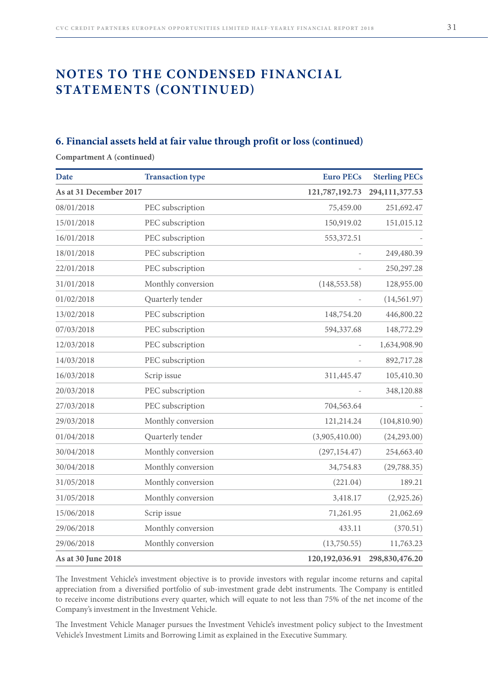### **6. Financial assets held at fair value through profit or loss (continued)**

**Compartment A (continued)**

| Date                   | <b>Transaction type</b> | <b>Euro PECs</b> | <b>Sterling PECs</b> |
|------------------------|-------------------------|------------------|----------------------|
| As at 31 December 2017 |                         | 121,787,192.73   | 294,111,377.53       |
| 08/01/2018             | PEC subscription        | 75,459.00        | 251,692.47           |
| 15/01/2018             | PEC subscription        | 150,919.02       | 151,015.12           |
| 16/01/2018             | PEC subscription        | 553,372.51       |                      |
| 18/01/2018             | PEC subscription        |                  | 249,480.39           |
| 22/01/2018             | PEC subscription        |                  | 250,297.28           |
| 31/01/2018             | Monthly conversion      | (148, 553.58)    | 128,955.00           |
| 01/02/2018             | Quarterly tender        |                  | (14, 561.97)         |
| 13/02/2018             | PEC subscription        | 148,754.20       | 446,800.22           |
| 07/03/2018             | PEC subscription        | 594,337.68       | 148,772.29           |
| 12/03/2018             | PEC subscription        |                  | 1,634,908.90         |
| 14/03/2018             | PEC subscription        |                  | 892,717.28           |
| 16/03/2018             | Scrip issue             | 311,445.47       | 105,410.30           |
| 20/03/2018             | PEC subscription        |                  | 348,120.88           |
| 27/03/2018             | PEC subscription        | 704,563.64       |                      |
| 29/03/2018             | Monthly conversion      | 121,214.24       | (104, 810.90)        |
| 01/04/2018             | Quarterly tender        | (3,905,410.00)   | (24,293.00)          |
| 30/04/2018             | Monthly conversion      | (297, 154.47)    | 254,663.40           |
| 30/04/2018             | Monthly conversion      | 34,754.83        | (29,788.35)          |
| 31/05/2018             | Monthly conversion      | (221.04)         | 189.21               |
| 31/05/2018             | Monthly conversion      | 3,418.17         | (2,925.26)           |
| 15/06/2018             | Scrip issue             | 71,261.95        | 21,062.69            |
| 29/06/2018             | Monthly conversion      | 433.11           | (370.51)             |
| 29/06/2018             | Monthly conversion      | (13,750.55)      | 11,763.23            |
| As at 30 June 2018     |                         | 120,192,036.91   | 298,830,476.20       |

The Investment Vehicle's investment objective is to provide investors with regular income returns and capital appreciation from a diversified portfolio of sub-investment grade debt instruments. The Company is entitled to receive income distributions every quarter, which will equate to not less than 75% of the net income of the Company's investment in the Investment Vehicle.

The Investment Vehicle Manager pursues the Investment Vehicle's investment policy subject to the Investment Vehicle's Investment Limits and Borrowing Limit as explained in the Executive Summary.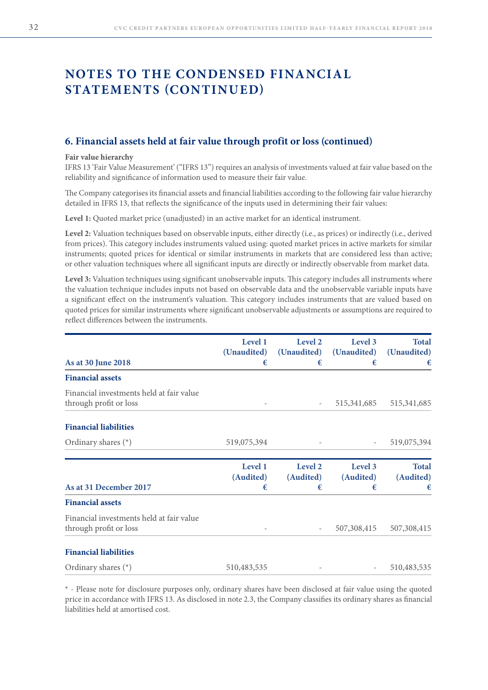#### **6. Financial assets held at fair value through profit or loss (continued)**

#### **Fair value hierarchy**

IFRS 13 'Fair Value Measurement' ("IFRS 13") requires an analysis of investments valued at fair value based on the reliability and significance of information used to measure their fair value.

The Company categorises its financial assets and financial liabilities according to the following fair value hierarchy detailed in IFRS 13, that reflects the significance of the inputs used in determining their fair values:

**Level 1:** Quoted market price (unadjusted) in an active market for an identical instrument.

**Level 2:** Valuation techniques based on observable inputs, either directly (i.e., as prices) or indirectly (i.e., derived from prices). This category includes instruments valued using: quoted market prices in active markets for similar instruments; quoted prices for identical or similar instruments in markets that are considered less than active; or other valuation techniques where all significant inputs are directly or indirectly observable from market data.

**Level 3:** Valuation techniques using significant unobservable inputs. This category includes all instruments where the valuation technique includes inputs not based on observable data and the unobservable variable inputs have a significant effect on the instrument's valuation. This category includes instruments that are valued based on quoted prices for similar instruments where significant unobservable adjustments or assumptions are required to reflect differences between the instruments.

|                                                                    | Level 1<br>(Unaudited) | Level 2<br>(Unaudited)   | Level 3<br>(Unaudited) | <b>Total</b><br>(Unaudited) |
|--------------------------------------------------------------------|------------------------|--------------------------|------------------------|-----------------------------|
| As at 30 June 2018                                                 | €                      | €                        | €                      | €                           |
| <b>Financial assets</b>                                            |                        |                          |                        |                             |
| Financial investments held at fair value<br>through profit or loss |                        | $\overline{\phantom{a}}$ | 515,341,685            | 515, 341, 685               |
| <b>Financial liabilities</b>                                       |                        |                          |                        |                             |
| Ordinary shares $(*)$                                              | 519,075,394            | $\overline{\phantom{a}}$ |                        | 519,075,394                 |
|                                                                    | Level 1<br>(Audited)   | Level 2<br>(Audited)     | Level 3<br>(Audited)   | <b>Total</b><br>(Audited)   |
| As at 31 December 2017                                             | €                      | €                        | €                      | €                           |
| <b>Financial assets</b>                                            |                        |                          |                        |                             |
| Financial investments held at fair value<br>through profit or loss |                        |                          | 507,308,415            | 507,308,415                 |
| <b>Financial liabilities</b>                                       |                        |                          |                        |                             |
| Ordinary shares $(*)$                                              | 510,483,535            |                          | $\sim$ 10 $\pm$        | 510,483,535                 |

\* - Please note for disclosure purposes only, ordinary shares have been disclosed at fair value using the quoted price in accordance with IFRS 13. As disclosed in note 2.3, the Company classifies its ordinary shares as financial liabilities held at amortised cost.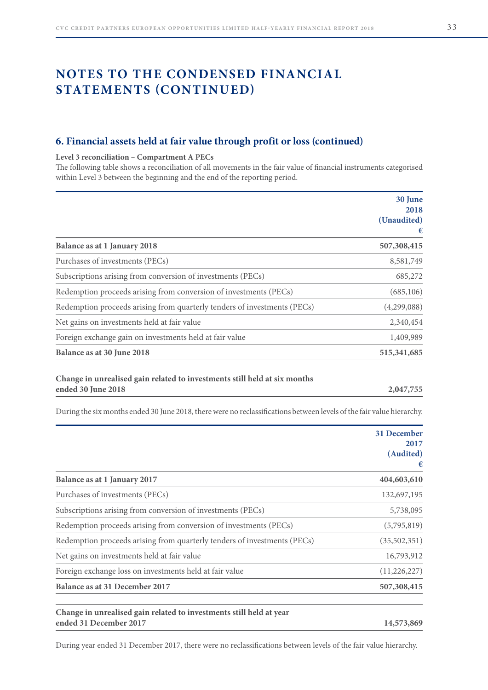### **6. Financial assets held at fair value through profit or loss (continued)**

### **Level 3 reconciliation – Compartment A PECs**

The following table shows a reconciliation of all movements in the fair value of financial instruments categorised within Level 3 between the beginning and the end of the reporting period.

|                                                                          | 30 June<br>2018<br>(Unaudited)<br>€ |
|--------------------------------------------------------------------------|-------------------------------------|
| Balance as at 1 January 2018                                             | 507,308,415                         |
| Purchases of investments (PECs)                                          | 8,581,749                           |
| Subscriptions arising from conversion of investments (PECs)              | 685,272                             |
| Redemption proceeds arising from conversion of investments (PECs)        | (685, 106)                          |
| Redemption proceeds arising from quarterly tenders of investments (PECs) | (4,299,088)                         |
| Net gains on investments held at fair value                              | 2,340,454                           |
| Foreign exchange gain on investments held at fair value                  | 1,409,989                           |
| Balance as at 30 June 2018                                               | 515,341,685                         |

**Change in unrealised gain related to investments still held at six months ended 30 June 2018 2,047,755**

During the six months ended 30 June 2018, there were no reclassifications between levels of the fair value hierarchy.

|                                                                          | 31 December<br>2017<br>(Audited)<br>€ |
|--------------------------------------------------------------------------|---------------------------------------|
| Balance as at 1 January 2017                                             | 404,603,610                           |
| Purchases of investments (PECs)                                          | 132,697,195                           |
| Subscriptions arising from conversion of investments (PECs)              | 5,738,095                             |
| Redemption proceeds arising from conversion of investments (PECs)        | (5,795,819)                           |
| Redemption proceeds arising from quarterly tenders of investments (PECs) | (35,502,351)                          |
| Net gains on investments held at fair value                              | 16,793,912                            |
| Foreign exchange loss on investments held at fair value                  | (11,226,227)                          |
| Balance as at 31 December 2017                                           | 507,308,415                           |

**Change in unrealised gain related to investments still held at year ended 31 December 2017 14,573,869**

During year ended 31 December 2017, there were no reclassifications between levels of the fair value hierarchy.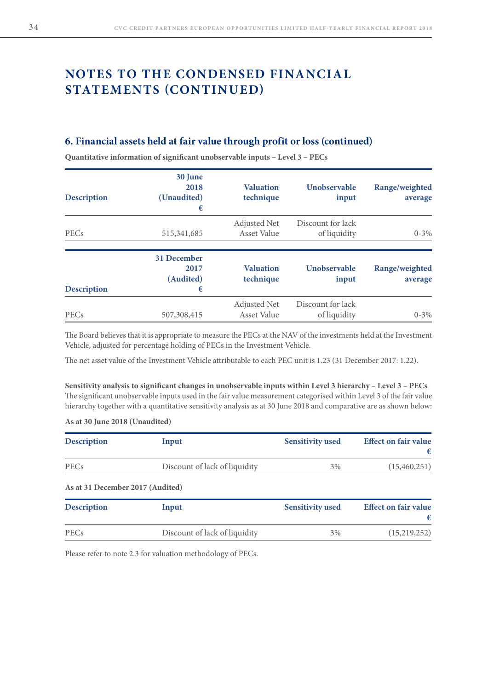### **6. Financial assets held at fair value through profit or loss (continued)**

**Quantitative information of significant unobservable inputs – Level 3 – PECs**

| <b>Description</b> | 30 June<br>2018<br>(Unaudited)<br>€   | <b>Valuation</b><br>technique | <b>Unobservable</b><br>input      | Range/weighted<br>average |
|--------------------|---------------------------------------|-------------------------------|-----------------------------------|---------------------------|
| <b>PECs</b>        | 515,341,685                           | Adjusted Net<br>Asset Value   | Discount for lack<br>of liquidity | $0 - 3\%$                 |
| <b>Description</b> | 31 December<br>2017<br>(Audited)<br>€ | <b>Valuation</b><br>technique | <b>Unobservable</b><br>input      | Range/weighted<br>average |
| <b>PECs</b>        | 507,308,415                           | Adjusted Net<br>Asset Value   | Discount for lack<br>of liquidity | $0 - 3\%$                 |

The Board believes that it is appropriate to measure the PECs at the NAV of the investments held at the Investment Vehicle, adjusted for percentage holding of PECs in the Investment Vehicle.

The net asset value of the Investment Vehicle attributable to each PEC unit is 1.23 (31 December 2017: 1.22).

**Sensitivity analysis to significant changes in unobservable inputs within Level 3 hierarchy – Level 3 – PECs** The significant unobservable inputs used in the fair value measurement categorised within Level 3 of the fair value hierarchy together with a quantitative sensitivity analysis as at 30 June 2018 and comparative are as shown below:

#### **As at 30 June 2018 (Unaudited)**

| <b>Description</b>               | Input                         | <b>Sensitivity used</b> | <b>Effect on fair value</b><br>€.         |
|----------------------------------|-------------------------------|-------------------------|-------------------------------------------|
| PECs                             | Discount of lack of liquidity | 3%                      | (15,460,251)                              |
| As at 31 December 2017 (Audited) |                               |                         |                                           |
| <b>Description</b>               | Input                         | <b>Sensitivity used</b> | <b>Effect on fair value</b><br>$\epsilon$ |
| PECs                             | Discount of lack of liquidity | 3%                      | (15,219,252)                              |

Please refer to note 2.3 for valuation methodology of PECs.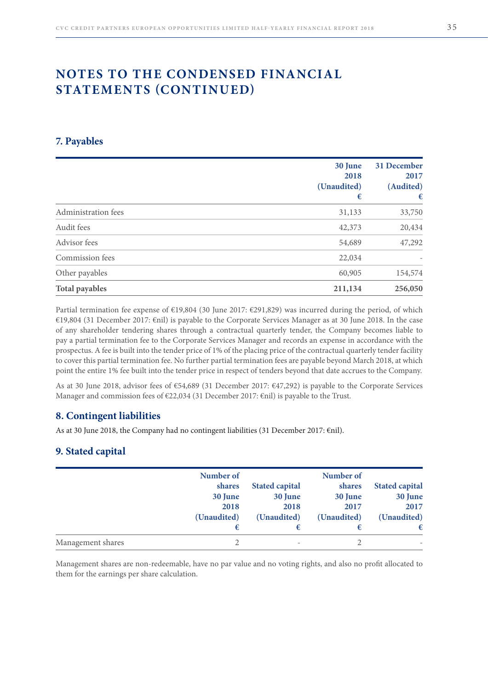## **7. Payables**

|                       | 30 June<br>2018<br>(Unaudited)<br>€ | 31 December<br>2017<br>(Audited)<br>€ |
|-----------------------|-------------------------------------|---------------------------------------|
| Administration fees   | 31,133                              | 33,750                                |
| Audit fees            | 42,373                              | 20,434                                |
| Advisor fees          | 54,689                              | 47,292                                |
| Commission fees       | 22,034                              |                                       |
| Other payables        | 60,905                              | 154,574                               |
| <b>Total payables</b> | 211,134                             | 256,050                               |

Partial termination fee expense of €19,804 (30 June 2017: €291,829) was incurred during the period, of which €19,804 (31 December 2017: €nil) is payable to the Corporate Services Manager as at 30 June 2018. In the case of any shareholder tendering shares through a contractual quarterly tender, the Company becomes liable to pay a partial termination fee to the Corporate Services Manager and records an expense in accordance with the prospectus. A fee is built into the tender price of 1% of the placing price of the contractual quarterly tender facility to cover this partial termination fee. No further partial termination fees are payable beyond March 2018, at which point the entire 1% fee built into the tender price in respect of tenders beyond that date accrues to the Company.

As at 30 June 2018, advisor fees of €54,689 (31 December 2017: €47,292) is payable to the Corporate Services Manager and commission fees of €22,034 (31 December 2017: €nil) is payable to the Trust.

### **8. Contingent liabilities**

As at 30 June 2018, the Company had no contingent liabilities (31 December 2017: €nil).

### **9. Stated capital**

|                   | Number of<br>shares<br>30 June<br>2018<br>(Unaudited) | <b>Stated capital</b><br>30 June<br>2018<br>(Unaudited) | Number of<br>shares<br>30 June<br>2017<br>(Unaudited) | <b>Stated capital</b><br>30 June<br>2017<br>(Unaudited) |
|-------------------|-------------------------------------------------------|---------------------------------------------------------|-------------------------------------------------------|---------------------------------------------------------|
|                   | €                                                     |                                                         |                                                       | €                                                       |
| Management shares |                                                       | $\overline{\phantom{a}}$                                |                                                       |                                                         |

Management shares are non-redeemable, have no par value and no voting rights, and also no profit allocated to them for the earnings per share calculation.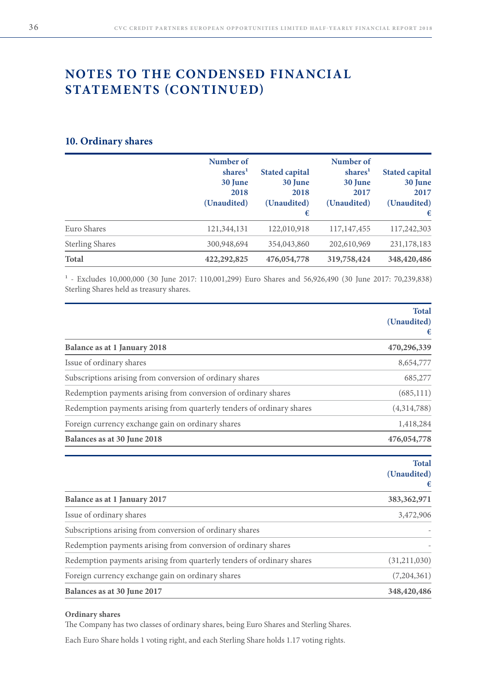# **10. Ordinary shares**

|                        | Number of<br>shares <sup>1</sup><br>30 June<br>2018<br>(Unaudited) | <b>Stated capital</b><br>30 June<br>2018<br>(Unaudited)<br>€ | Number of<br>shares <sup>1</sup><br>30 June<br>2017<br>(Unaudited) | <b>Stated capital</b><br>30 June<br>2017<br>(Unaudited)<br>€ |
|------------------------|--------------------------------------------------------------------|--------------------------------------------------------------|--------------------------------------------------------------------|--------------------------------------------------------------|
| Euro Shares            | 121,344,131                                                        | 122,010,918                                                  | 117, 147, 455                                                      | 117,242,303                                                  |
| <b>Sterling Shares</b> | 300,948,694                                                        | 354,043,860                                                  | 202,610,969                                                        | 231,178,183                                                  |
| <b>Total</b>           | 422,292,825                                                        | 476,054,778                                                  | 319,758,424                                                        | 348,420,486                                                  |

1 - Excludes 10,000,000 (30 June 2017: 110,001,299) Euro Shares and 56,926,490 (30 June 2017: 70,239,838) Sterling Shares held as treasury shares.

|                                                                       | <b>Total</b><br>(Unaudited)      |
|-----------------------------------------------------------------------|----------------------------------|
|                                                                       | €                                |
| Balance as at 1 January 2018                                          | 470,296,339                      |
| Issue of ordinary shares                                              | 8,654,777                        |
| Subscriptions arising from conversion of ordinary shares              | 685,277                          |
| Redemption payments arising from conversion of ordinary shares        | (685, 111)                       |
| Redemption payments arising from quarterly tenders of ordinary shares | (4,314,788)                      |
| Foreign currency exchange gain on ordinary shares                     | 1,418,284                        |
| Balances as at 30 June 2018                                           | 476,054,778                      |
|                                                                       | <b>Total</b><br>(Unaudited)<br>€ |
| Balance as at 1 January 2017                                          | 383, 362, 971                    |
| Issue of ordinary shares                                              | 3,472,906                        |
| Subscriptions arising from conversion of ordinary shares              |                                  |
| Redemption payments arising from conversion of ordinary shares        |                                  |
| Redemption payments arising from quarterly tenders of ordinary shares | (31, 211, 030)                   |
| Foreign currency exchange gain on ordinary shares                     | (7,204,361)                      |
| Balances as at 30 June 2017                                           | 348,420,486                      |

#### **Ordinary shares**

The Company has two classes of ordinary shares, being Euro Shares and Sterling Shares.

Each Euro Share holds 1 voting right, and each Sterling Share holds 1.17 voting rights.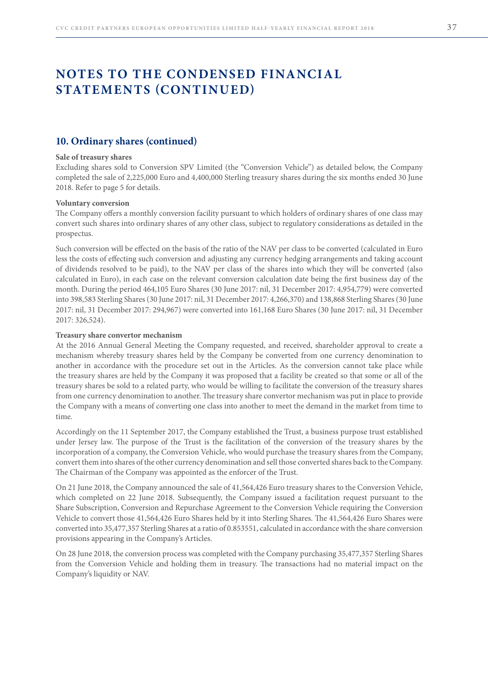#### **10. Ordinary shares (continued)**

#### **Sale of treasury shares**

Excluding shares sold to Conversion SPV Limited (the "Conversion Vehicle") as detailed below, the Company completed the sale of 2,225,000 Euro and 4,400,000 Sterling treasury shares during the six months ended 30 June 2018. Refer to page 5 for details.

#### **Voluntary conversion**

The Company offers a monthly conversion facility pursuant to which holders of ordinary shares of one class may convert such shares into ordinary shares of any other class, subject to regulatory considerations as detailed in the prospectus.

Such conversion will be effected on the basis of the ratio of the NAV per class to be converted (calculated in Euro less the costs of effecting such conversion and adjusting any currency hedging arrangements and taking account of dividends resolved to be paid), to the NAV per class of the shares into which they will be converted (also calculated in Euro), in each case on the relevant conversion calculation date being the first business day of the month. During the period 464,105 Euro Shares (30 June 2017: nil, 31 December 2017: 4,954,779) were converted into 398,583 Sterling Shares (30 June 2017: nil, 31 December 2017: 4,266,370) and 138,868 Sterling Shares (30 June 2017: nil, 31 December 2017: 294,967) were converted into 161,168 Euro Shares (30 June 2017: nil, 31 December 2017: 326,524).

#### **Treasury share convertor mechanism**

At the 2016 Annual General Meeting the Company requested, and received, shareholder approval to create a mechanism whereby treasury shares held by the Company be converted from one currency denomination to another in accordance with the procedure set out in the Articles. As the conversion cannot take place while the treasury shares are held by the Company it was proposed that a facility be created so that some or all of the treasury shares be sold to a related party, who would be willing to facilitate the conversion of the treasury shares from one currency denomination to another. The treasury share convertor mechanism was put in place to provide the Company with a means of converting one class into another to meet the demand in the market from time to time.

Accordingly on the 11 September 2017, the Company established the Trust, a business purpose trust established under Jersey law. The purpose of the Trust is the facilitation of the conversion of the treasury shares by the incorporation of a company, the Conversion Vehicle, who would purchase the treasury shares from the Company, convert them into shares of the other currency denomination and sell those converted shares back to the Company. The Chairman of the Company was appointed as the enforcer of the Trust.

On 21 June 2018, the Company announced the sale of 41,564,426 Euro treasury shares to the Conversion Vehicle, which completed on 22 June 2018. Subsequently, the Company issued a facilitation request pursuant to the Share Subscription, Conversion and Repurchase Agreement to the Conversion Vehicle requiring the Conversion Vehicle to convert those 41,564,426 Euro Shares held by it into Sterling Shares. The 41,564,426 Euro Shares were converted into 35,477,357 Sterling Shares at a ratio of 0.853551, calculated in accordance with the share conversion provisions appearing in the Company's Articles.

On 28 June 2018, the conversion process was completed with the Company purchasing 35,477,357 Sterling Shares from the Conversion Vehicle and holding them in treasury. The transactions had no material impact on the Company's liquidity or NAV.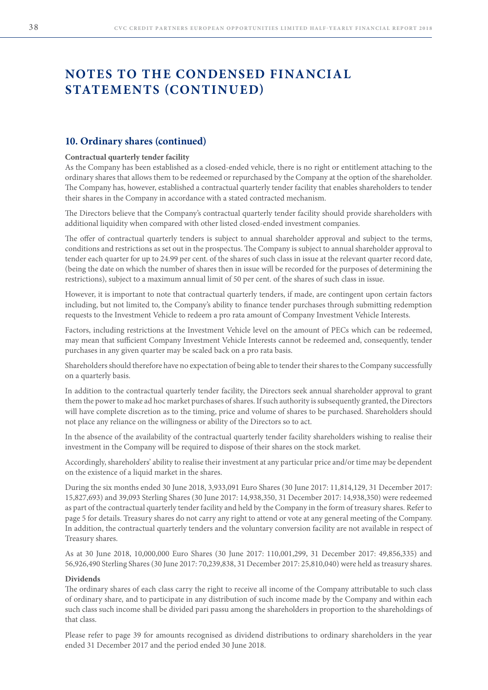### **10. Ordinary shares (continued)**

#### **Contractual quarterly tender facility**

As the Company has been established as a closed-ended vehicle, there is no right or entitlement attaching to the ordinary shares that allows them to be redeemed or repurchased by the Company at the option of the shareholder. The Company has, however, established a contractual quarterly tender facility that enables shareholders to tender their shares in the Company in accordance with a stated contracted mechanism.

The Directors believe that the Company's contractual quarterly tender facility should provide shareholders with additional liquidity when compared with other listed closed-ended investment companies.

The offer of contractual quarterly tenders is subject to annual shareholder approval and subject to the terms, conditions and restrictions as set out in the prospectus. The Company is subject to annual shareholder approval to tender each quarter for up to 24.99 per cent. of the shares of such class in issue at the relevant quarter record date, (being the date on which the number of shares then in issue will be recorded for the purposes of determining the restrictions), subject to a maximum annual limit of 50 per cent. of the shares of such class in issue.

However, it is important to note that contractual quarterly tenders, if made, are contingent upon certain factors including, but not limited to, the Company's ability to finance tender purchases through submitting redemption requests to the Investment Vehicle to redeem a pro rata amount of Company Investment Vehicle Interests.

Factors, including restrictions at the Investment Vehicle level on the amount of PECs which can be redeemed, may mean that sufficient Company Investment Vehicle Interests cannot be redeemed and, consequently, tender purchases in any given quarter may be scaled back on a pro rata basis.

Shareholders should therefore have no expectation of being able to tender their shares to the Company successfully on a quarterly basis.

In addition to the contractual quarterly tender facility, the Directors seek annual shareholder approval to grant them the power to make ad hoc market purchases of shares. If such authority is subsequently granted, the Directors will have complete discretion as to the timing, price and volume of shares to be purchased. Shareholders should not place any reliance on the willingness or ability of the Directors so to act.

In the absence of the availability of the contractual quarterly tender facility shareholders wishing to realise their investment in the Company will be required to dispose of their shares on the stock market.

Accordingly, shareholders' ability to realise their investment at any particular price and/or time may be dependent on the existence of a liquid market in the shares.

During the six months ended 30 June 2018, 3,933,091 Euro Shares (30 June 2017: 11,814,129, 31 December 2017: 15,827,693) and 39,093 Sterling Shares (30 June 2017: 14,938,350, 31 December 2017: 14,938,350) were redeemed as part of the contractual quarterly tender facility and held by the Company in the form of treasury shares. Refer to page 5 for details. Treasury shares do not carry any right to attend or vote at any general meeting of the Company. In addition, the contractual quarterly tenders and the voluntary conversion facility are not available in respect of Treasury shares.

As at 30 June 2018, 10,000,000 Euro Shares (30 June 2017: 110,001,299, 31 December 2017: 49,856,335) and 56,926,490 Sterling Shares (30 June 2017: 70,239,838, 31 December 2017: 25,810,040) were held as treasury shares.

#### **Dividends**

The ordinary shares of each class carry the right to receive all income of the Company attributable to such class of ordinary share, and to participate in any distribution of such income made by the Company and within each such class such income shall be divided pari passu among the shareholders in proportion to the shareholdings of that class.

Please refer to page 39 for amounts recognised as dividend distributions to ordinary shareholders in the year ended 31 December 2017 and the period ended 30 June 2018.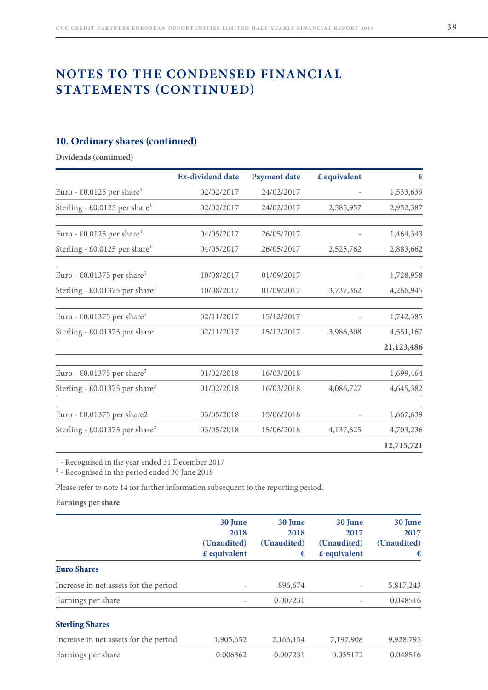# **10. Ordinary shares (continued)**

**Dividends (continued)**

|                                                          | <b>Ex-dividend date</b> | <b>Payment date</b> | $\pounds$ equivalent | €          |
|----------------------------------------------------------|-------------------------|---------------------|----------------------|------------|
| Euro - €0.0125 per share <sup>1</sup>                    | 02/02/2017              | 24/02/2017          |                      | 1,533,639  |
| Sterling - £0.0125 per share <sup>1</sup>                | 02/02/2017              | 24/02/2017          | 2,585,957            | 2,952,387  |
| Euro - €0.0125 per share <sup>1</sup>                    | 04/05/2017              | 26/05/2017          |                      | 1,464,343  |
| Sterling - $\text{\pounds}0.0125$ per share <sup>1</sup> | 04/05/2017              | 26/05/2017          | 2,525,762            | 2,883,662  |
| Euro - €0.01375 per share <sup>1</sup>                   | 10/08/2017              | 01/09/2017          |                      | 1,728,958  |
| Sterling - £0.01375 per share <sup>1</sup>               | 10/08/2017              | 01/09/2017          | 3,737,362            | 4,266,945  |
| Euro - €0.01375 per share <sup>1</sup>                   | 02/11/2017              | 15/12/2017          |                      | 1,742,385  |
| Sterling - £0.01375 per share <sup>1</sup>               | 02/11/2017              | 15/12/2017          | 3,986,308            | 4,551,167  |
|                                                          |                         |                     |                      | 21,123,486 |
| Euro - €0.01375 per share <sup>2</sup>                   | 01/02/2018              | 16/03/2018          |                      | 1,699,464  |
| Sterling - £0.01375 per share <sup>2</sup>               | 01/02/2018              | 16/03/2018          | 4,086,727            | 4,645,382  |
| Euro - €0.01375 per share2                               | 03/05/2018              | 15/06/2018          |                      | 1,667,639  |
| Sterling - £0.01375 per share <sup>2</sup>               | 03/05/2018              | 15/06/2018          | 4,137,625            | 4,703,236  |
|                                                          |                         |                     |                      | 12,715,721 |

1 - Recognised in the year ended 31 December 2017

2 - Recognised in the period ended 30 June 2018

Please refer to note 14 for further information subsequent to the reporting period.

**Earnings per share** 

|                                       | 30 June<br>2018<br>(Unaudited)<br>$\pounds$ equivalent | 30 June<br>2018<br>(Unaudited)<br>€ | 30 June<br>2017<br>(Unaudited)<br>$\pounds$ equivalent | 30 June<br>2017<br>(Unaudited)<br>€ |
|---------------------------------------|--------------------------------------------------------|-------------------------------------|--------------------------------------------------------|-------------------------------------|
| <b>Euro Shares</b>                    |                                                        |                                     |                                                        |                                     |
| Increase in net assets for the period |                                                        | 896,674                             |                                                        | 5,817,243                           |
| Earnings per share                    |                                                        | 0.007231                            |                                                        | 0.048516                            |
| <b>Sterling Shares</b>                |                                                        |                                     |                                                        |                                     |
| Increase in net assets for the period | 1,905,652                                              | 2,166,154                           | 7,197,908                                              | 9,928,795                           |
| Earnings per share                    | 0.006362                                               | 0.007231                            | 0.035172                                               | 0.048516                            |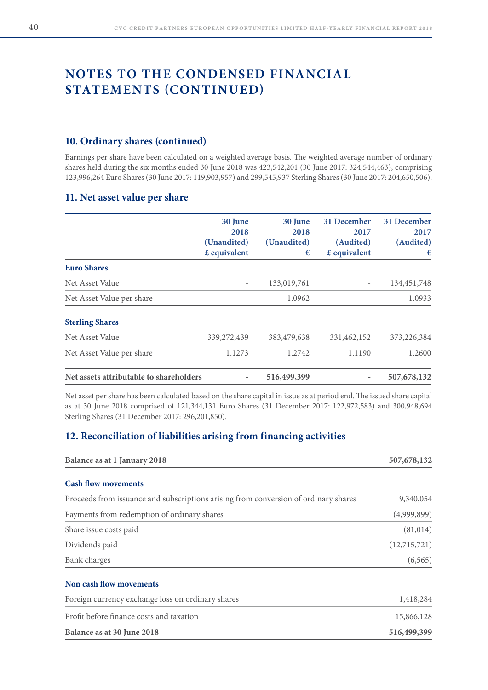### **10. Ordinary shares (continued)**

Earnings per share have been calculated on a weighted average basis. The weighted average number of ordinary shares held during the six months ended 30 June 2018 was 423,542,201 (30 June 2017: 324,544,463), comprising 123,996,264 Euro Shares (30 June 2017: 119,903,957) and 299,545,937 Sterling Shares (30 June 2017: 204,650,506).

### **11. Net asset value per share**

|                                         | 30 June<br>2018<br>(Unaudited)<br>$\pounds$ equivalent | 30 June<br>2018<br>(Unaudited)<br>€ | 31 December<br>2017<br>(Audited)<br>$\pounds$ equivalent | 31 December<br>2017<br>(Audited)<br>€ |
|-----------------------------------------|--------------------------------------------------------|-------------------------------------|----------------------------------------------------------|---------------------------------------|
| <b>Euro Shares</b>                      |                                                        |                                     |                                                          |                                       |
| Net Asset Value                         |                                                        | 133,019,761                         |                                                          | 134, 451, 748                         |
| Net Asset Value per share               |                                                        | 1.0962                              |                                                          | 1.0933                                |
| <b>Sterling Shares</b>                  |                                                        |                                     |                                                          |                                       |
| Net Asset Value                         | 339,272,439                                            | 383,479,638                         | 331,462,152                                              | 373,226,384                           |
| Net Asset Value per share               | 1.1273                                                 | 1.2742                              | 1.1190                                                   | 1.2600                                |
| Net assets attributable to shareholders |                                                        | 516,499,399                         |                                                          | 507,678,132                           |

Net asset per share has been calculated based on the share capital in issue as at period end. The issued share capital as at 30 June 2018 comprised of 121,344,131 Euro Shares (31 December 2017: 122,972,583) and 300,948,694 Sterling Shares (31 December 2017: 296,201,850).

## **12. Reconciliation of liabilities arising from financing activities**

| Balance as at 1 January 2018                                                        | 507,678,132  |
|-------------------------------------------------------------------------------------|--------------|
| <b>Cash flow movements</b>                                                          |              |
| Proceeds from issuance and subscriptions arising from conversion of ordinary shares | 9,340,054    |
| Payments from redemption of ordinary shares                                         | (4,999,899)  |
| Share issue costs paid                                                              | (81,014)     |
| Dividends paid                                                                      | (12,715,721) |
| Bank charges                                                                        | (6, 565)     |
| Non cash flow movements                                                             |              |
| Foreign currency exchange loss on ordinary shares                                   | 1,418,284    |
| Profit before finance costs and taxation                                            | 15,866,128   |
| Balance as at 30 June 2018                                                          | 516,499,399  |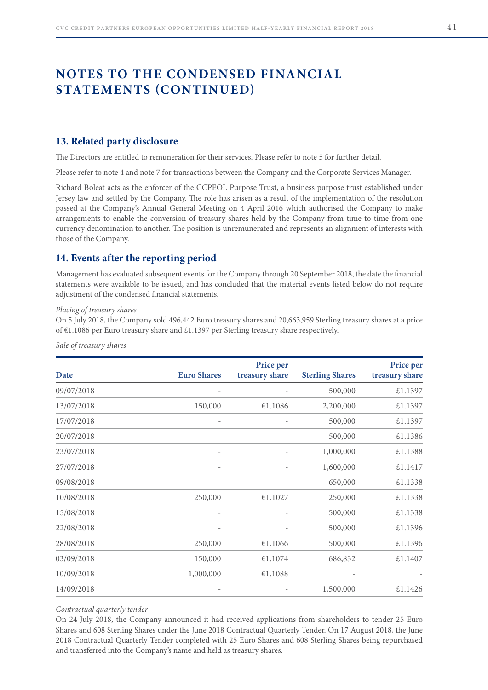### **13. Related party disclosure**

The Directors are entitled to remuneration for their services. Please refer to note 5 for further detail.

Please refer to note 4 and note 7 for transactions between the Company and the Corporate Services Manager.

Richard Boleat acts as the enforcer of the CCPEOL Purpose Trust, a business purpose trust established under Jersey law and settled by the Company. The role has arisen as a result of the implementation of the resolution passed at the Company's Annual General Meeting on 4 April 2016 which authorised the Company to make arrangements to enable the conversion of treasury shares held by the Company from time to time from one currency denomination to another. The position is unremunerated and represents an alignment of interests with those of the Company.

### **14. Events after the reporting period**

Management has evaluated subsequent events for the Company through 20 September 2018, the date the financial statements were available to be issued, and has concluded that the material events listed below do not require adjustment of the condensed financial statements.

#### *Placing of treasury shares*

On 5 July 2018, the Company sold 496,442 Euro treasury shares and 20,663,959 Sterling treasury shares at a price of €1.1086 per Euro treasury share and £1.1397 per Sterling treasury share respectively.

|            |                    | Price per      |                        | Price per      |
|------------|--------------------|----------------|------------------------|----------------|
| Date       | <b>Euro Shares</b> | treasury share | <b>Sterling Shares</b> | treasury share |
| 09/07/2018 |                    |                | 500,000                | £1.1397        |
| 13/07/2018 | 150,000            | €1.1086        | 2,200,000              | £1.1397        |
| 17/07/2018 | $\qquad \qquad -$  |                | 500,000                | £1.1397        |
| 20/07/2018 |                    |                | 500,000                | £1.1386        |
| 23/07/2018 |                    |                | 1,000,000              | £1.1388        |
| 27/07/2018 | -                  |                | 1,600,000              | £1.1417        |
| 09/08/2018 |                    |                | 650,000                | £1.1338        |
| 10/08/2018 | 250,000            | €1.1027        | 250,000                | £1.1338        |
| 15/08/2018 |                    |                | 500,000                | £1.1338        |
| 22/08/2018 |                    |                | 500,000                | £1.1396        |
| 28/08/2018 | 250,000            | €1.1066        | 500,000                | £1.1396        |
| 03/09/2018 | 150,000            | €1.1074        | 686,832                | £1.1407        |
| 10/09/2018 | 1,000,000          | €1.1088        | ۰                      |                |
| 14/09/2018 |                    |                | 1,500,000              | £1.1426        |

*Sale of treasury shares*

#### *Contractual quarterly tender*

On 24 July 2018, the Company announced it had received applications from shareholders to tender 25 Euro Shares and 608 Sterling Shares under the June 2018 Contractual Quarterly Tender. On 17 August 2018, the June 2018 Contractual Quarterly Tender completed with 25 Euro Shares and 608 Sterling Shares being repurchased and transferred into the Company's name and held as treasury shares.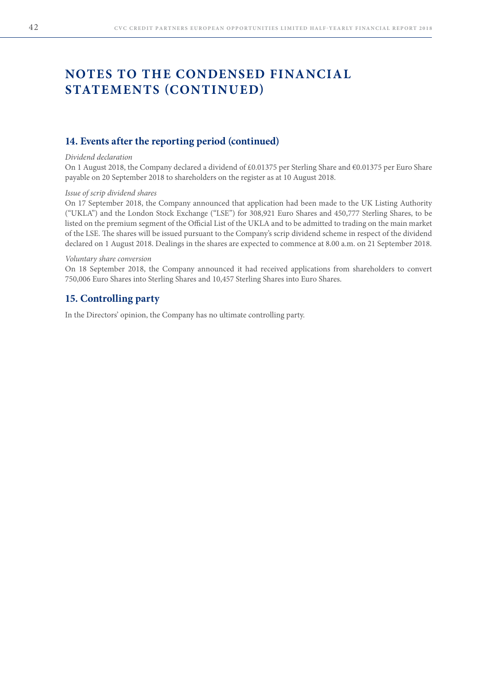### **14. Events after the reporting period (continued)**

#### *Dividend declaration*

On 1 August 2018, the Company declared a dividend of £0.01375 per Sterling Share and €0.01375 per Euro Share payable on 20 September 2018 to shareholders on the register as at 10 August 2018.

#### *Issue of scrip dividend shares*

On 17 September 2018, the Company announced that application had been made to the UK Listing Authority ("UKLA") and the London Stock Exchange ("LSE") for 308,921 Euro Shares and 450,777 Sterling Shares, to be listed on the premium segment of the Official List of the UKLA and to be admitted to trading on the main market of the LSE. The shares will be issued pursuant to the Company's scrip dividend scheme in respect of the dividend declared on 1 August 2018. Dealings in the shares are expected to commence at 8.00 a.m. on 21 September 2018.

#### *Voluntary share conversion*

On 18 September 2018, the Company announced it had received applications from shareholders to convert 750,006 Euro Shares into Sterling Shares and 10,457 Sterling Shares into Euro Shares.

#### **15. Controlling party**

In the Directors' opinion, the Company has no ultimate controlling party.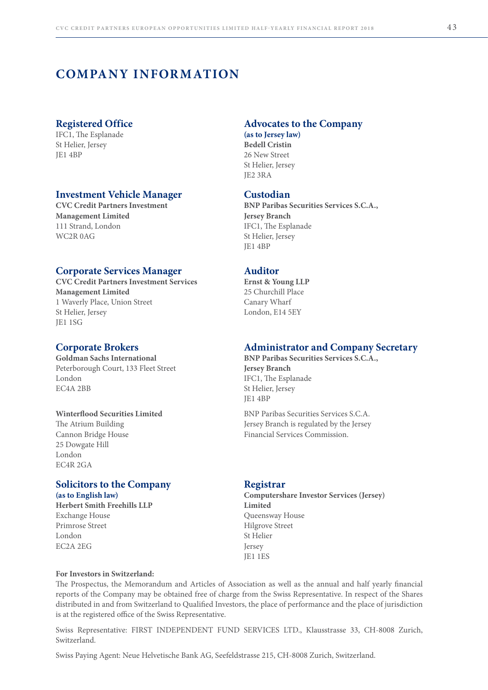# **COMPANY INFORMATION**

IFC1, The Esplanade St Helier, Jersey JE1 4BP

### **Investment Vehicle Manager Custodian**

**CVC Credit Partners Investment Management Limited** 111 Strand, London WC2R 0AG

#### **Corporate Services Manager Auditor**

**CVC Credit Partners Investment Services Management Limited** 1 Waverly Place, Union Street St Helier, Jersey JE1 1SG

**Goldman Sachs International** Peterborough Court, 133 Fleet Street London EC4A 2BB

#### **Winterflood Securities Limited**

The Atrium Building Cannon Bridge House 25 Dowgate Hill London EC4R 2GA

# **Solicitors to the Company Registrar**<br> **Registrar**<br> **Registrar**<br> **Registrar**

**Herbert Smith Freehills LLP** Exchange House Primrose Street London EC2A 2EG

# **Registered Office Advocates to the Company**<br> **Advocates to the Company**<br>
(as to Jersey law)

**Bedell Cristin** 26 New Street St Helier, Jersey JE2 3RA

**BNP Paribas Securities Services S.C.A., Jersey Branch** IFC1, The Esplanade St Helier, Jersey JE1 4BP

**Ernst & Young LLP** 25 Churchill Place Canary Wharf London, E14 5EY

### **Corporate Brokers Administrator and Company Secretary**

**BNP Paribas Securities Services S.C.A., Jersey Branch** IFC1, The Esplanade St Helier, Jersey JE1 4BP

BNP Paribas Securities Services S.C.A. Jersey Branch is regulated by the Jersey Financial Services Commission.

**Computershare Investor Services (Jersey) Limited** Queensway House Hilgrove Street St Helier Jersey JE1 1ES

#### **For Investors in Switzerland:**

The Prospectus, the Memorandum and Articles of Association as well as the annual and half yearly financial reports of the Company may be obtained free of charge from the Swiss Representative. In respect of the Shares distributed in and from Switzerland to Qualified Investors, the place of performance and the place of jurisdiction is at the registered office of the Swiss Representative.

Swiss Representative: FIRST INDEPENDENT FUND SERVICES LTD., Klausstrasse 33, CH-8008 Zurich, Switzerland.

Swiss Paying Agent: Neue Helvetische Bank AG, Seefeldstrasse 215, CH-8008 Zurich, Switzerland.